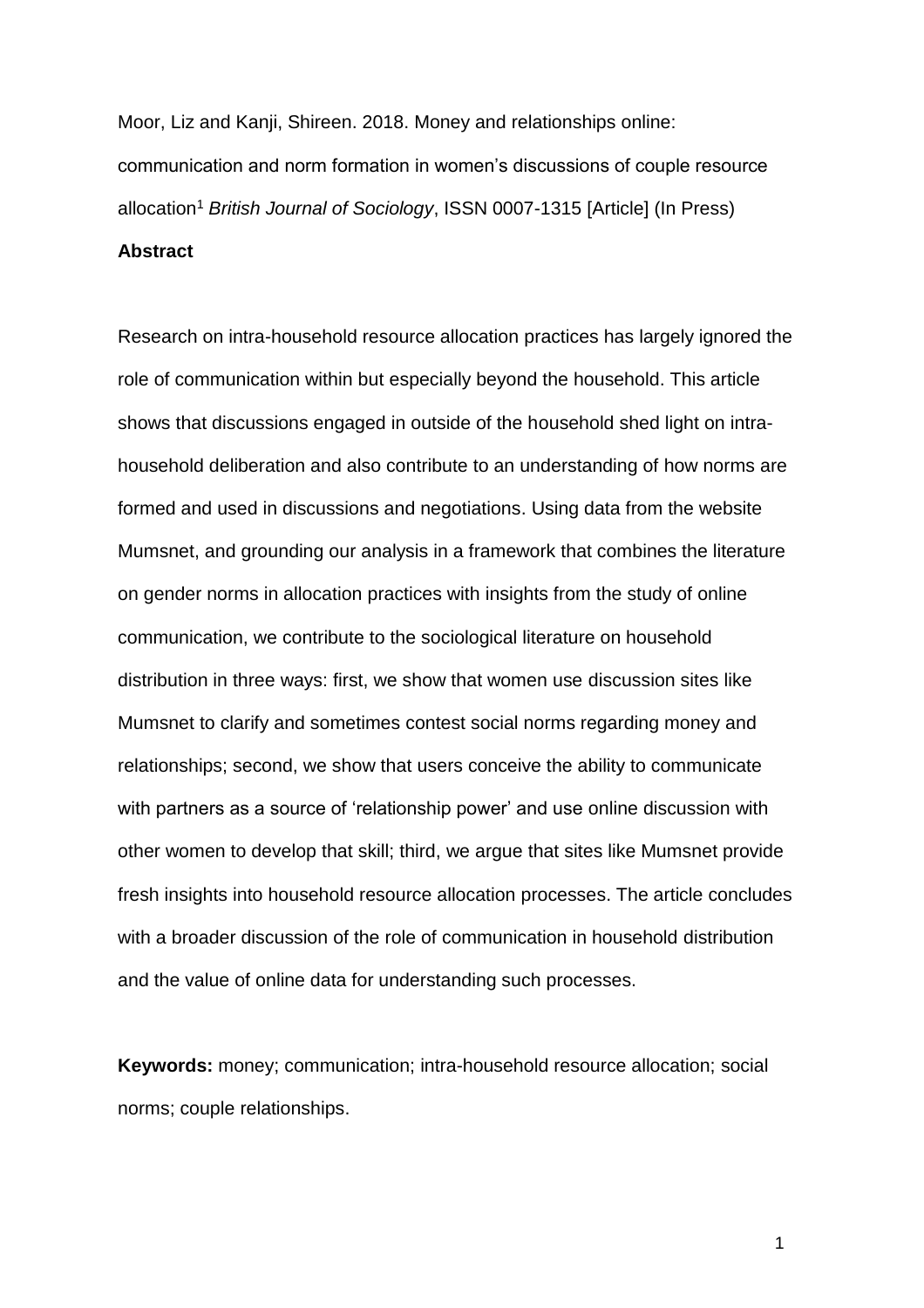Moor, Liz and Kanji, Shireen. 2018. Money and relationships online: communication and norm formation in women's discussions of couple resource allocation<sup>1</sup> *British Journal of Sociology*, ISSN 0007-1315 [Article] (In Press)

# **Abstract**

Research on intra-household resource allocation practices has largely ignored the role of communication within but especially beyond the household. This article shows that discussions engaged in outside of the household shed light on intrahousehold deliberation and also contribute to an understanding of how norms are formed and used in discussions and negotiations. Using data from the website Mumsnet, and grounding our analysis in a framework that combines the literature on gender norms in allocation practices with insights from the study of online communication, we contribute to the sociological literature on household distribution in three ways: first, we show that women use discussion sites like Mumsnet to clarify and sometimes contest social norms regarding money and relationships; second, we show that users conceive the ability to communicate with partners as a source of 'relationship power' and use online discussion with other women to develop that skill; third, we argue that sites like Mumsnet provide fresh insights into household resource allocation processes. The article concludes with a broader discussion of the role of communication in household distribution and the value of online data for understanding such processes.

**Keywords:** money; communication; intra-household resource allocation; social norms; couple relationships.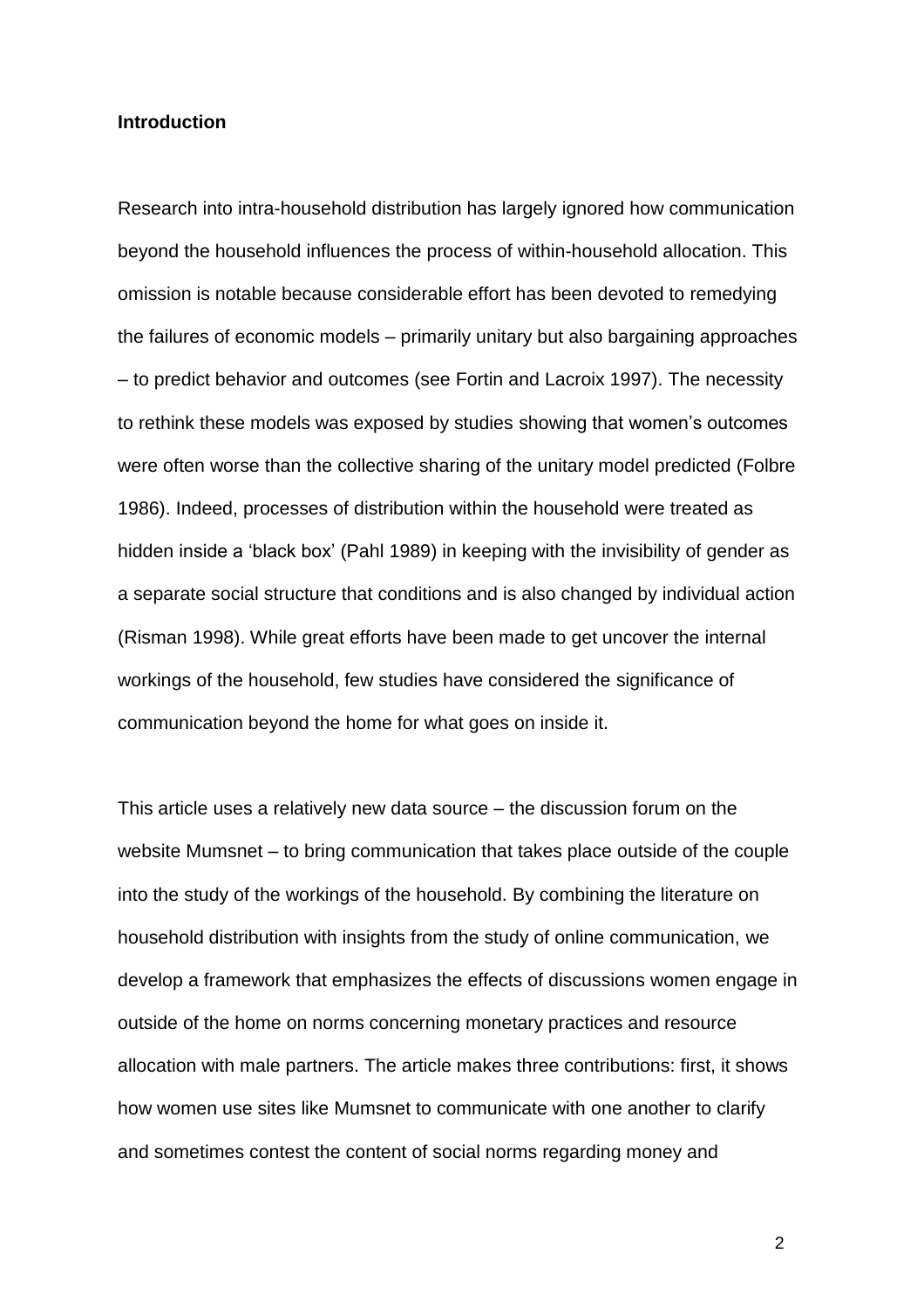#### **Introduction**

Research into intra-household distribution has largely ignored how communication beyond the household influences the process of within-household allocation. This omission is notable because considerable effort has been devoted to remedying the failures of economic models – primarily unitary but also bargaining approaches – to predict behavior and outcomes (see Fortin and Lacroix 1997). The necessity to rethink these models was exposed by studies showing that women's outcomes were often worse than the collective sharing of the unitary model predicted (Folbre 1986). Indeed, processes of distribution within the household were treated as hidden inside a 'black box' (Pahl 1989) in keeping with the invisibility of gender as a separate social structure that conditions and is also changed by individual action (Risman 1998). While great efforts have been made to get uncover the internal workings of the household, few studies have considered the significance of communication beyond the home for what goes on inside it.

This article uses a relatively new data source – the discussion forum on the website Mumsnet – to bring communication that takes place outside of the couple into the study of the workings of the household. By combining the literature on household distribution with insights from the study of online communication, we develop a framework that emphasizes the effects of discussions women engage in outside of the home on norms concerning monetary practices and resource allocation with male partners. The article makes three contributions: first, it shows how women use sites like Mumsnet to communicate with one another to clarify and sometimes contest the content of social norms regarding money and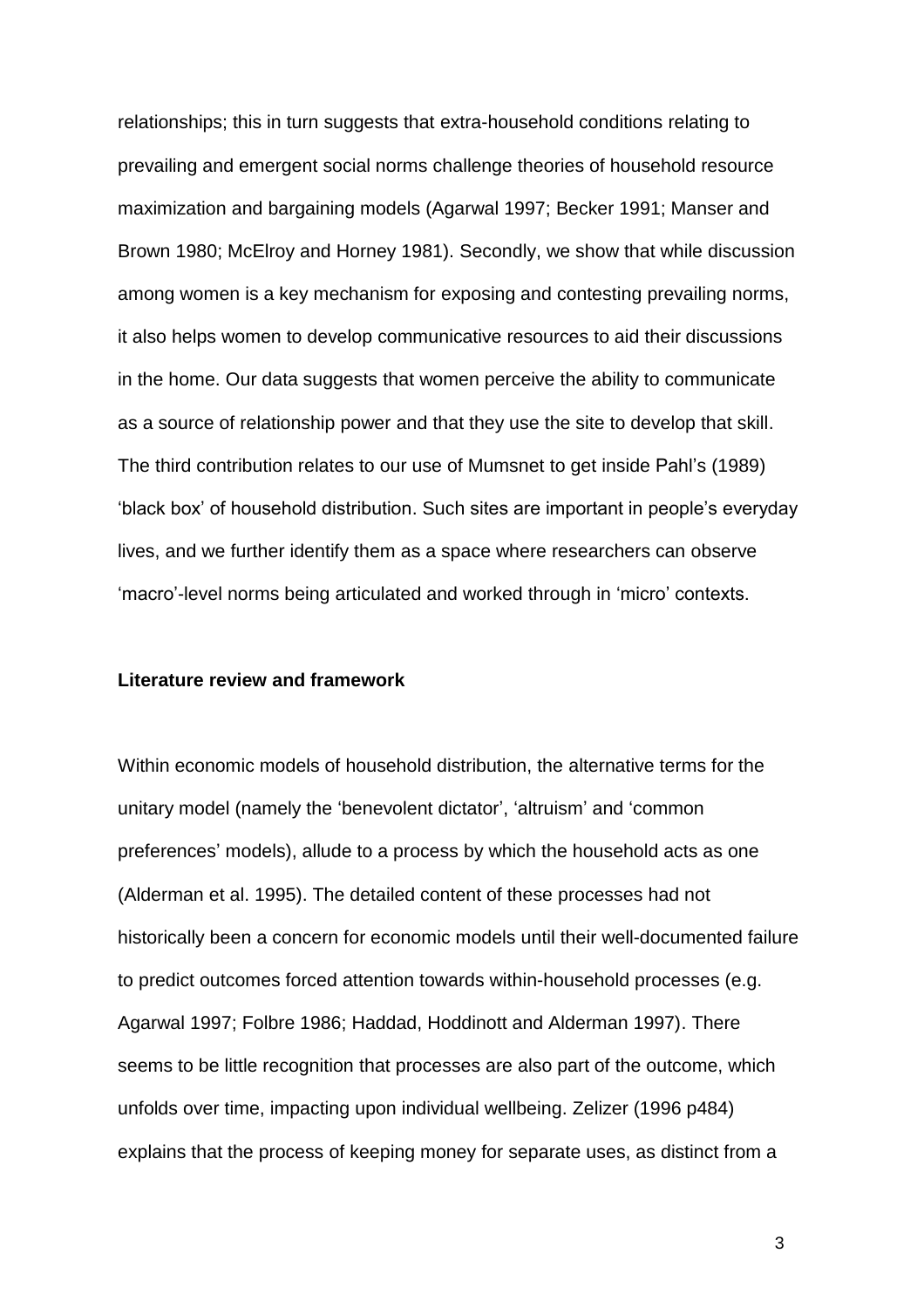relationships; this in turn suggests that extra-household conditions relating to prevailing and emergent social norms challenge theories of household resource maximization and bargaining models (Agarwal 1997; Becker 1991; Manser and Brown 1980; McElroy and Horney 1981). Secondly, we show that while discussion among women is a key mechanism for exposing and contesting prevailing norms, it also helps women to develop communicative resources to aid their discussions in the home. Our data suggests that women perceive the ability to communicate as a source of relationship power and that they use the site to develop that skill. The third contribution relates to our use of Mumsnet to get inside Pahl's (1989) 'black box' of household distribution. Such sites are important in people's everyday lives, and we further identify them as a space where researchers can observe 'macro'-level norms being articulated and worked through in 'micro' contexts.

### **Literature review and framework**

Within economic models of household distribution, the alternative terms for the unitary model (namely the 'benevolent dictator', 'altruism' and 'common preferences' models), allude to a process by which the household acts as one (Alderman et al. 1995). The detailed content of these processes had not historically been a concern for economic models until their well-documented failure to predict outcomes forced attention towards within-household processes (e.g. Agarwal 1997; Folbre 1986; Haddad, Hoddinott and Alderman 1997). There seems to be little recognition that processes are also part of the outcome, which unfolds over time, impacting upon individual wellbeing. Zelizer (1996 p484) explains that the process of keeping money for separate uses, as distinct from a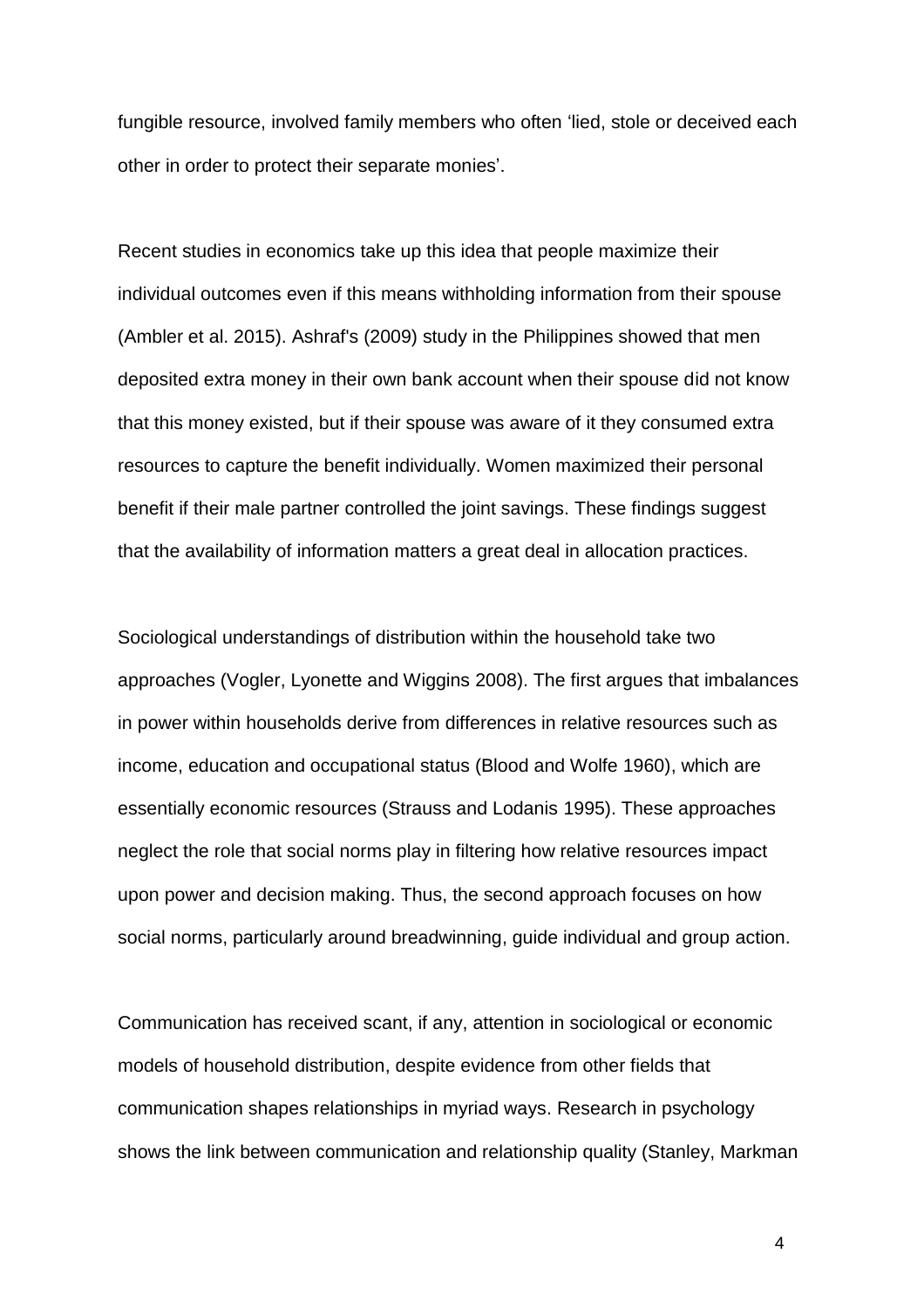fungible resource, involved family members who often 'lied, stole or deceived each other in order to protect their separate monies'.

Recent studies in economics take up this idea that people maximize their individual outcomes even if this means withholding information from their spouse (Ambler et al. 2015). Ashraf's (2009) study in the Philippines showed that men deposited extra money in their own bank account when their spouse did not know that this money existed, but if their spouse was aware of it they consumed extra resources to capture the benefit individually. Women maximized their personal benefit if their male partner controlled the joint savings. These findings suggest that the availability of information matters a great deal in allocation practices.

Sociological understandings of distribution within the household take two approaches (Vogler, Lyonette and Wiggins 2008). The first argues that imbalances in power within households derive from differences in relative resources such as income, education and occupational status (Blood and Wolfe 1960), which are essentially economic resources (Strauss and Lodanis 1995). These approaches neglect the role that social norms play in filtering how relative resources impact upon power and decision making. Thus, the second approach focuses on how social norms, particularly around breadwinning, guide individual and group action.

Communication has received scant, if any, attention in sociological or economic models of household distribution, despite evidence from other fields that communication shapes relationships in myriad ways. Research in psychology shows the link between communication and relationship quality (Stanley, Markman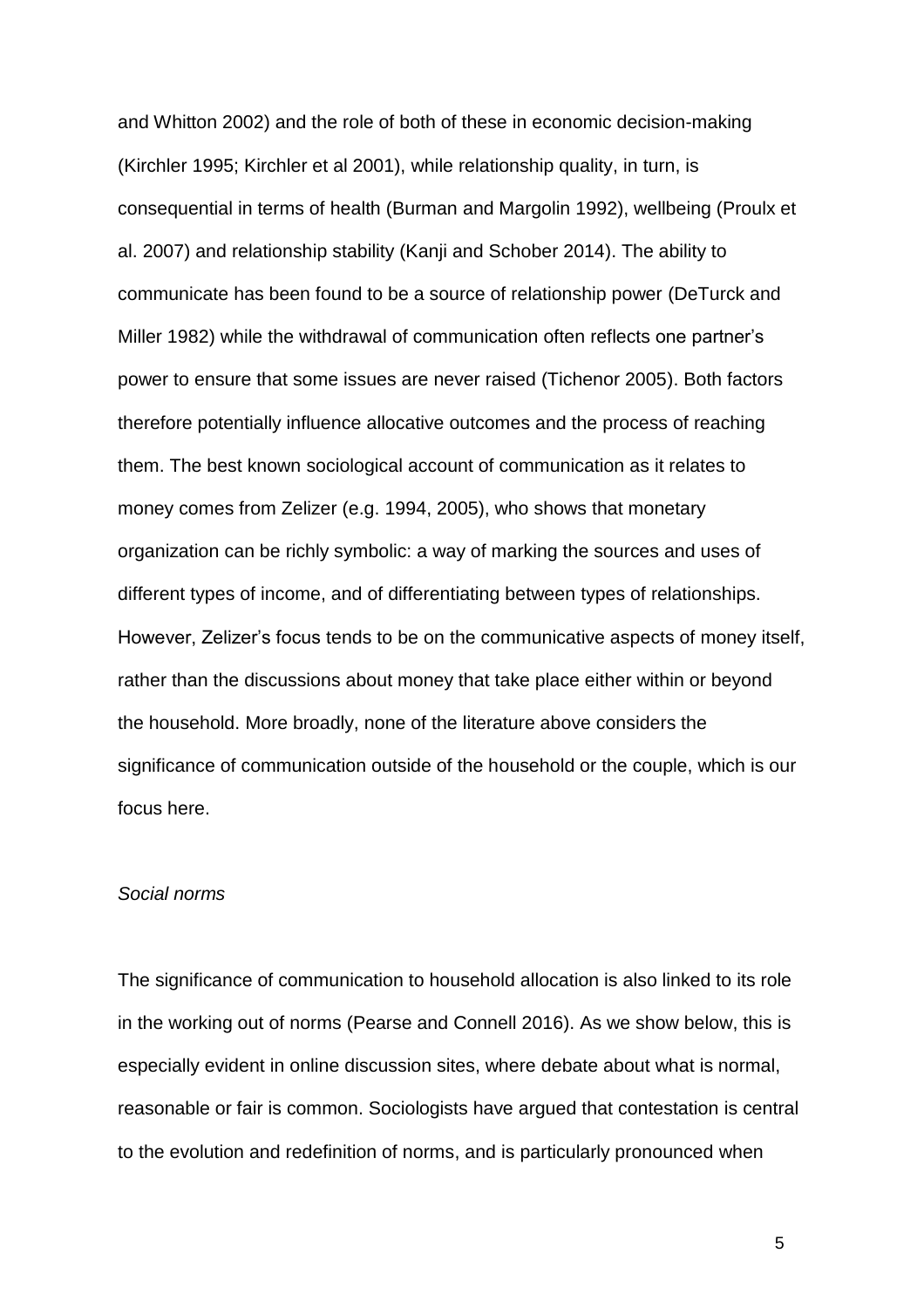and Whitton 2002) and the role of both of these in economic decision-making (Kirchler 1995; Kirchler et al 2001), while relationship quality, in turn, is consequential in terms of health (Burman and Margolin 1992), wellbeing (Proulx et al. 2007) and relationship stability (Kanji and Schober 2014). The ability to communicate has been found to be a source of relationship power (DeTurck and Miller 1982) while the withdrawal of communication often reflects one partner's power to ensure that some issues are never raised (Tichenor 2005). Both factors therefore potentially influence allocative outcomes and the process of reaching them. The best known sociological account of communication as it relates to money comes from Zelizer (e.g. 1994, 2005), who shows that monetary organization can be richly symbolic: a way of marking the sources and uses of different types of income, and of differentiating between types of relationships. However, Zelizer's focus tends to be on the communicative aspects of money itself, rather than the discussions about money that take place either within or beyond the household. More broadly, none of the literature above considers the significance of communication outside of the household or the couple, which is our focus here.

# *Social norms*

The significance of communication to household allocation is also linked to its role in the working out of norms (Pearse and Connell 2016). As we show below, this is especially evident in online discussion sites, where debate about what is normal, reasonable or fair is common. Sociologists have argued that contestation is central to the evolution and redefinition of norms, and is particularly pronounced when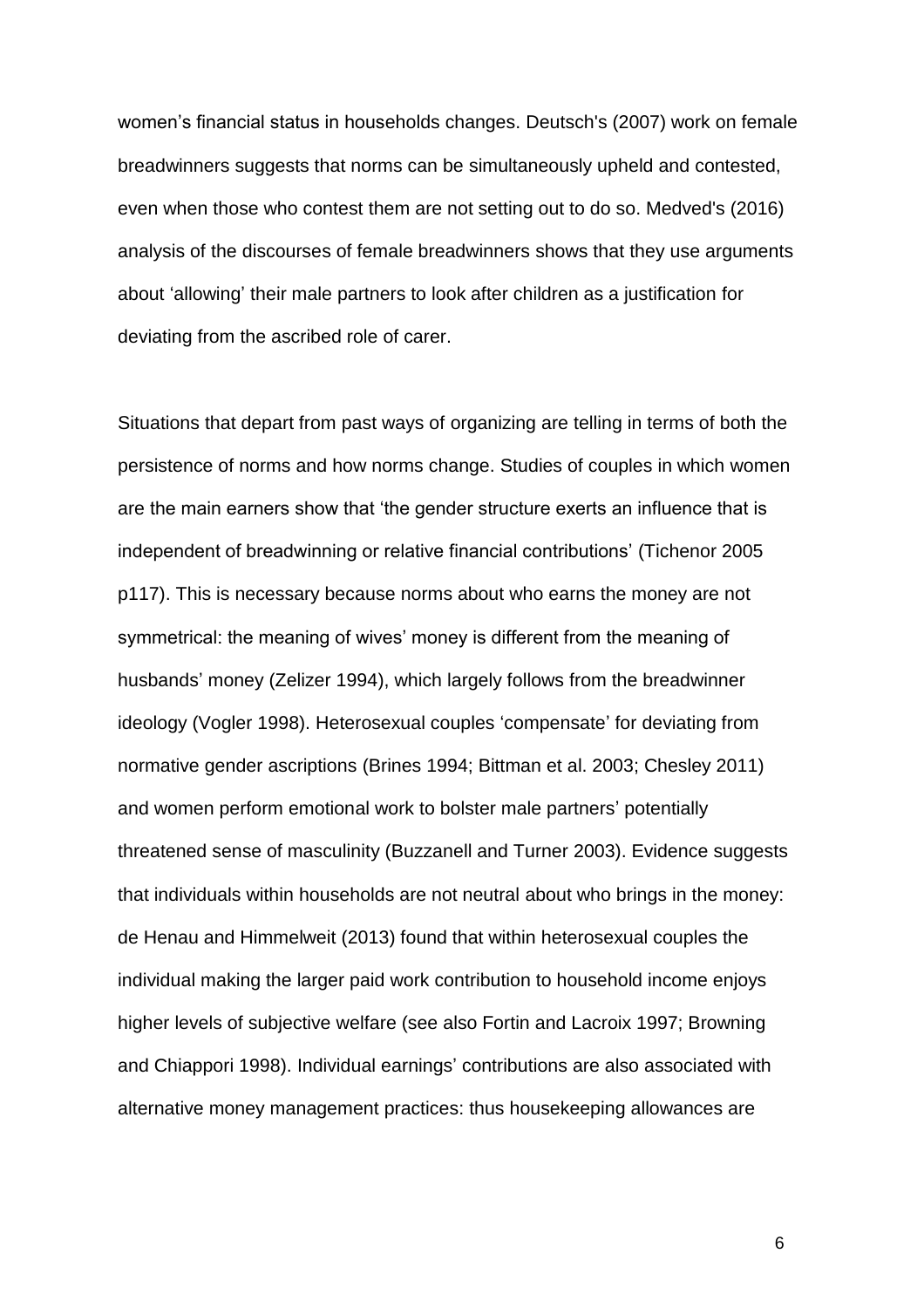women's financial status in households changes. Deutsch's (2007) work on female breadwinners suggests that norms can be simultaneously upheld and contested, even when those who contest them are not setting out to do so. Medved's (2016) analysis of the discourses of female breadwinners shows that they use arguments about 'allowing' their male partners to look after children as a justification for deviating from the ascribed role of carer.

Situations that depart from past ways of organizing are telling in terms of both the persistence of norms and how norms change. Studies of couples in which women are the main earners show that 'the gender structure exerts an influence that is independent of breadwinning or relative financial contributions' (Tichenor 2005 p117). This is necessary because norms about who earns the money are not symmetrical: the meaning of wives' money is different from the meaning of husbands' money (Zelizer 1994), which largely follows from the breadwinner ideology (Vogler 1998). Heterosexual couples 'compensate' for deviating from normative gender ascriptions (Brines 1994; Bittman et al. 2003; Chesley 2011) and women perform emotional work to bolster male partners' potentially threatened sense of masculinity (Buzzanell and Turner 2003). Evidence suggests that individuals within households are not neutral about who brings in the money: de Henau and Himmelweit (2013) found that within heterosexual couples the individual making the larger paid work contribution to household income enjoys higher levels of subjective welfare (see also Fortin and Lacroix 1997; Browning and Chiappori 1998). Individual earnings' contributions are also associated with alternative money management practices: thus housekeeping allowances are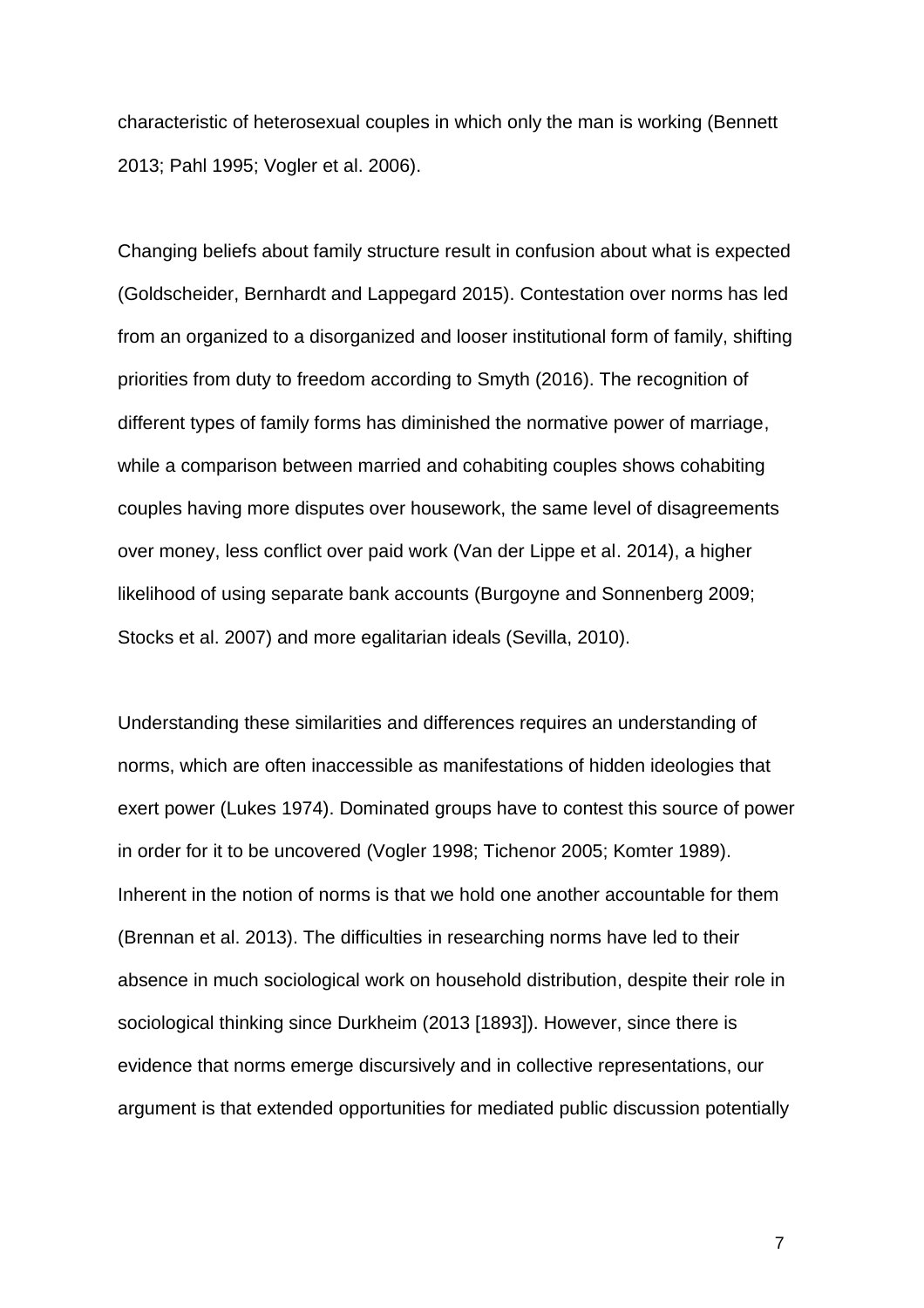characteristic of heterosexual couples in which only the man is working (Bennett 2013; Pahl 1995; Vogler et al. 2006).

Changing beliefs about family structure result in confusion about what is expected (Goldscheider, Bernhardt and Lappegard 2015). Contestation over norms has led from an organized to a disorganized and looser institutional form of family, shifting priorities from duty to freedom according to Smyth (2016). The recognition of different types of family forms has diminished the normative power of marriage, while a comparison between married and cohabiting couples shows cohabiting couples having more disputes over housework, the same level of disagreements over money, less conflict over paid work (Van der Lippe et al. 2014), a higher likelihood of using separate bank accounts (Burgoyne and Sonnenberg 2009; Stocks et al. 2007) and more egalitarian ideals (Sevilla, 2010).

Understanding these similarities and differences requires an understanding of norms, which are often inaccessible as manifestations of hidden ideologies that exert power (Lukes 1974). Dominated groups have to contest this source of power in order for it to be uncovered (Vogler 1998; Tichenor 2005; Komter 1989). Inherent in the notion of norms is that we hold one another accountable for them (Brennan et al. 2013). The difficulties in researching norms have led to their absence in much sociological work on household distribution, despite their role in sociological thinking since Durkheim (2013 [1893]). However, since there is evidence that norms emerge discursively and in collective representations, our argument is that extended opportunities for mediated public discussion potentially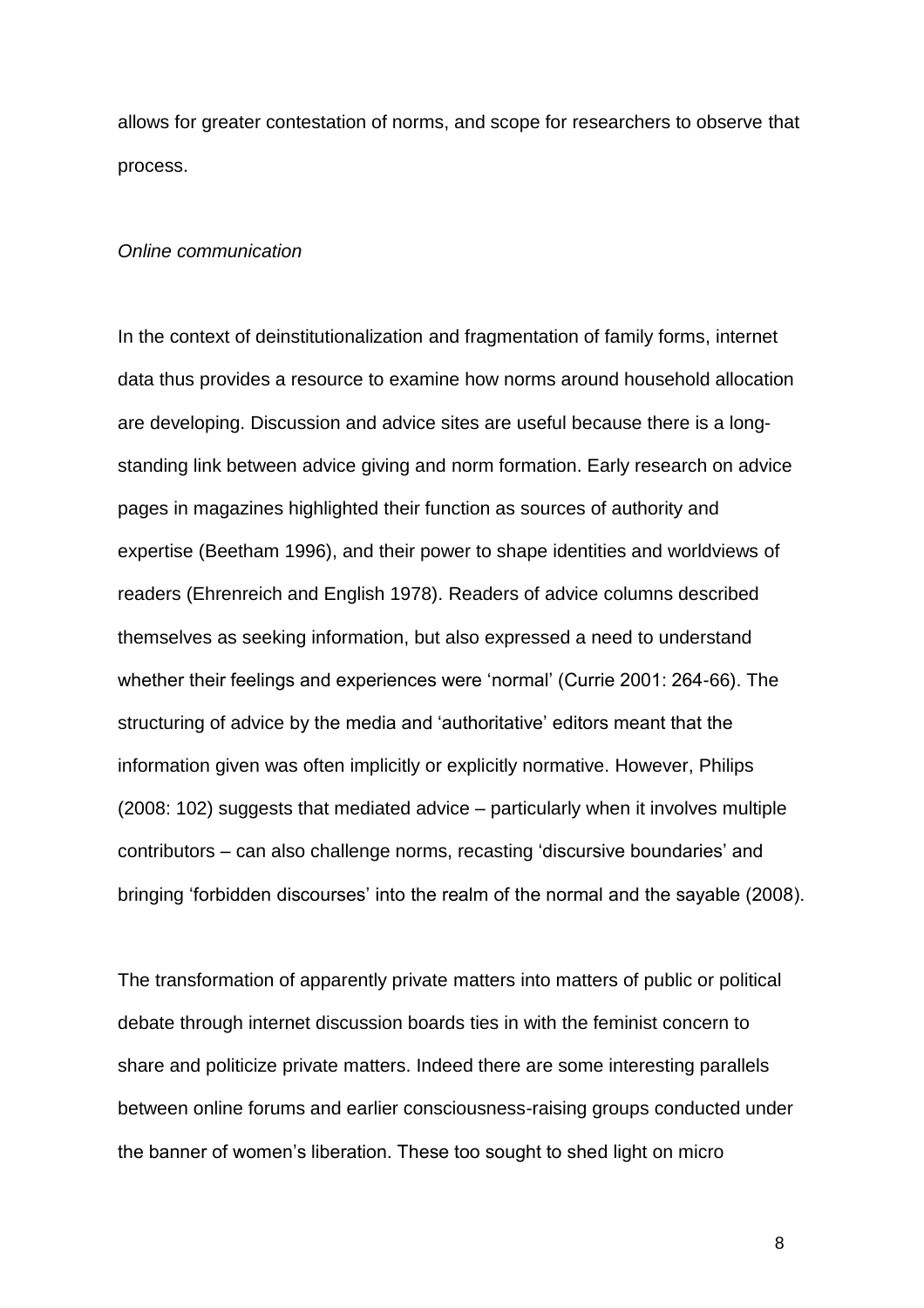allows for greater contestation of norms, and scope for researchers to observe that process.

#### *Online communication*

In the context of deinstitutionalization and fragmentation of family forms, internet data thus provides a resource to examine how norms around household allocation are developing. Discussion and advice sites are useful because there is a longstanding link between advice giving and norm formation. Early research on advice pages in magazines highlighted their function as sources of authority and expertise (Beetham 1996), and their power to shape identities and worldviews of readers (Ehrenreich and English 1978). Readers of advice columns described themselves as seeking information, but also expressed a need to understand whether their feelings and experiences were 'normal' (Currie 2001: 264-66). The structuring of advice by the media and 'authoritative' editors meant that the information given was often implicitly or explicitly normative. However, Philips (2008: 102) suggests that mediated advice – particularly when it involves multiple contributors – can also challenge norms, recasting 'discursive boundaries' and bringing 'forbidden discourses' into the realm of the normal and the sayable (2008).

The transformation of apparently private matters into matters of public or political debate through internet discussion boards ties in with the feminist concern to share and politicize private matters. Indeed there are some interesting parallels between online forums and earlier consciousness-raising groups conducted under the banner of women's liberation. These too sought to shed light on micro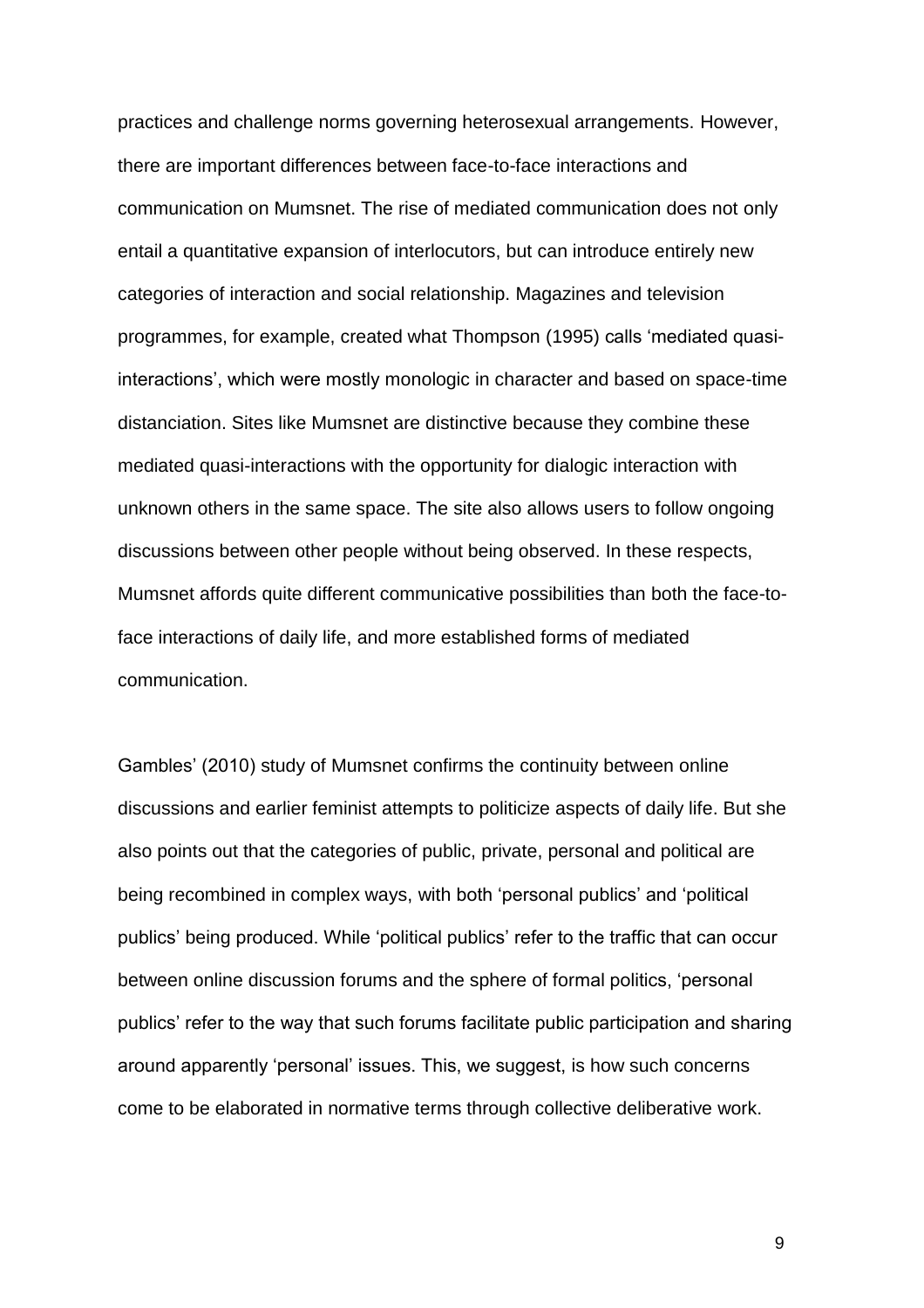practices and challenge norms governing heterosexual arrangements. However, there are important differences between face-to-face interactions and communication on Mumsnet. The rise of mediated communication does not only entail a quantitative expansion of interlocutors, but can introduce entirely new categories of interaction and social relationship. Magazines and television programmes, for example, created what Thompson (1995) calls 'mediated quasiinteractions', which were mostly monologic in character and based on space-time distanciation. Sites like Mumsnet are distinctive because they combine these mediated quasi-interactions with the opportunity for dialogic interaction with unknown others in the same space. The site also allows users to follow ongoing discussions between other people without being observed. In these respects, Mumsnet affords quite different communicative possibilities than both the face-toface interactions of daily life, and more established forms of mediated communication.

Gambles' (2010) study of Mumsnet confirms the continuity between online discussions and earlier feminist attempts to politicize aspects of daily life. But she also points out that the categories of public, private, personal and political are being recombined in complex ways, with both 'personal publics' and 'political publics' being produced. While 'political publics' refer to the traffic that can occur between online discussion forums and the sphere of formal politics, 'personal publics' refer to the way that such forums facilitate public participation and sharing around apparently 'personal' issues. This, we suggest, is how such concerns come to be elaborated in normative terms through collective deliberative work.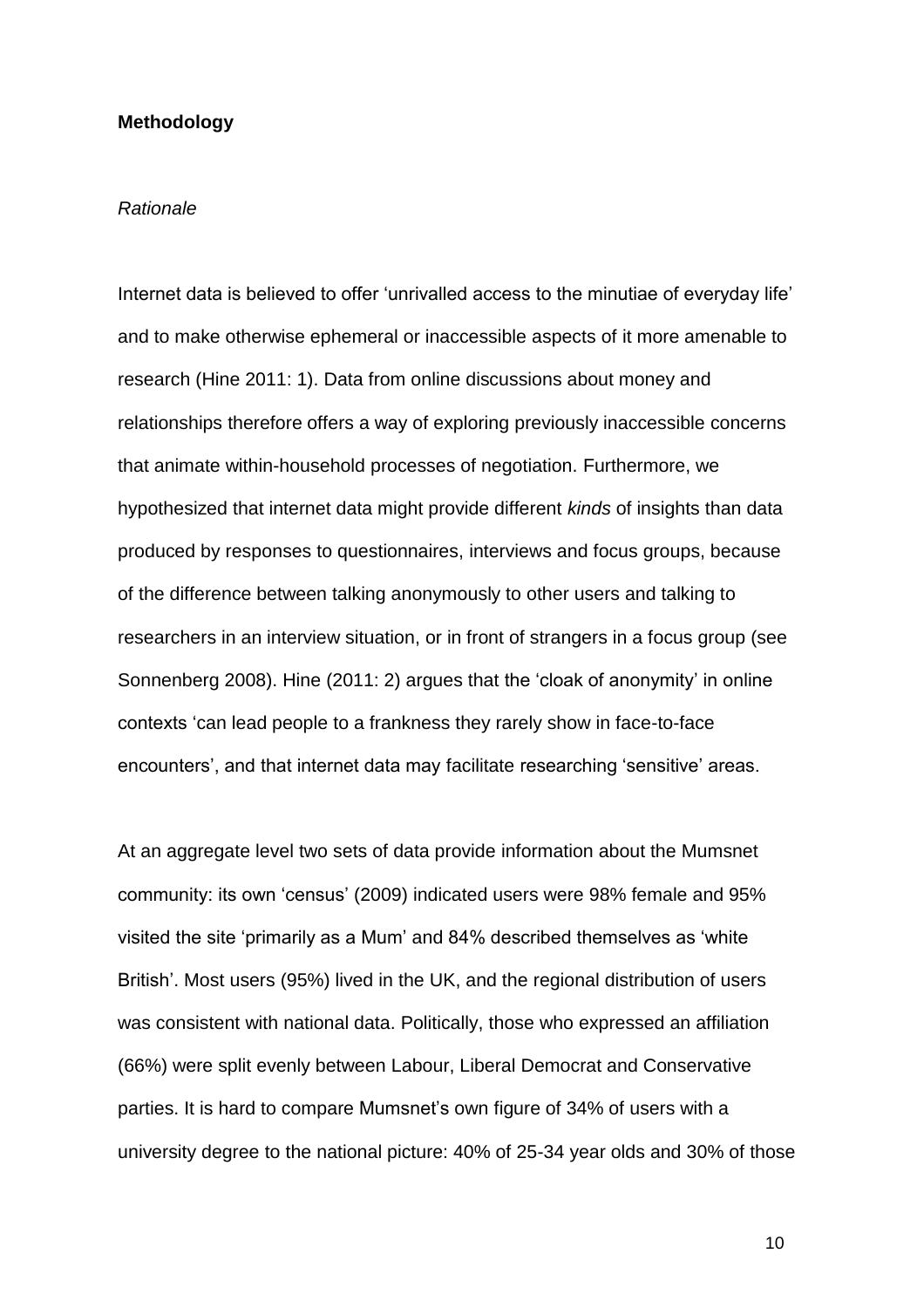#### **Methodology**

#### *Rationale*

Internet data is believed to offer 'unrivalled access to the minutiae of everyday life' and to make otherwise ephemeral or inaccessible aspects of it more amenable to research (Hine 2011: 1). Data from online discussions about money and relationships therefore offers a way of exploring previously inaccessible concerns that animate within-household processes of negotiation. Furthermore, we hypothesized that internet data might provide different *kinds* of insights than data produced by responses to questionnaires, interviews and focus groups, because of the difference between talking anonymously to other users and talking to researchers in an interview situation, or in front of strangers in a focus group (see Sonnenberg 2008). Hine (2011: 2) argues that the 'cloak of anonymity' in online contexts 'can lead people to a frankness they rarely show in face-to-face encounters', and that internet data may facilitate researching 'sensitive' areas.

At an aggregate level two sets of data provide information about the Mumsnet community: its own 'census' (2009) indicated users were 98% female and 95% visited the site 'primarily as a Mum' and 84% described themselves as 'white British'. Most users (95%) lived in the UK, and the regional distribution of users was consistent with national data. Politically, those who expressed an affiliation (66%) were split evenly between Labour, Liberal Democrat and Conservative parties. It is hard to compare Mumsnet's own figure of 34% of users with a university degree to the national picture: 40% of 25-34 year olds and 30% of those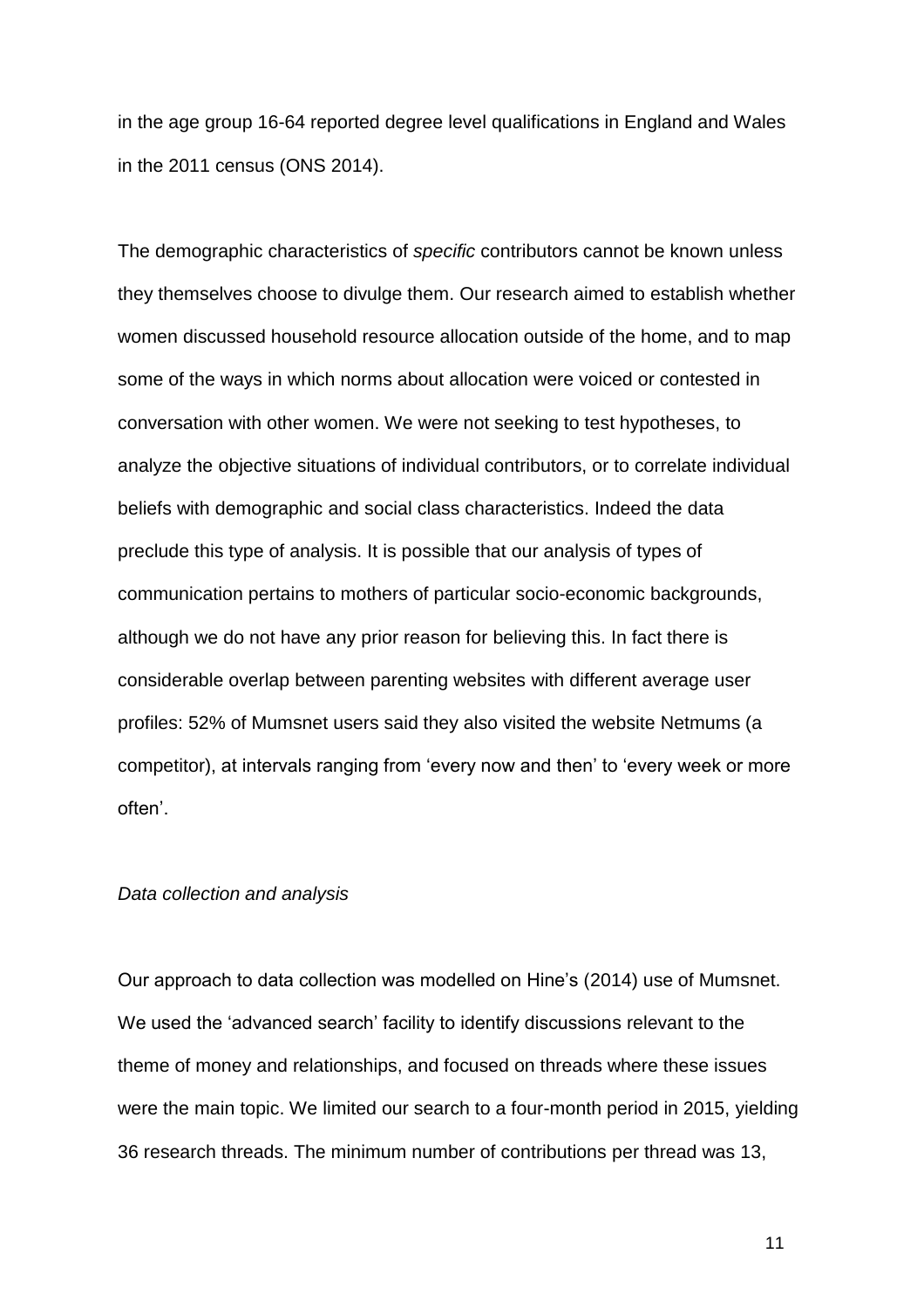in the age group 16-64 reported degree level qualifications in England and Wales in the 2011 census (ONS 2014).

The demographic characteristics of *specific* contributors cannot be known unless they themselves choose to divulge them. Our research aimed to establish whether women discussed household resource allocation outside of the home, and to map some of the ways in which norms about allocation were voiced or contested in conversation with other women. We were not seeking to test hypotheses, to analyze the objective situations of individual contributors, or to correlate individual beliefs with demographic and social class characteristics. Indeed the data preclude this type of analysis. It is possible that our analysis of types of communication pertains to mothers of particular socio-economic backgrounds, although we do not have any prior reason for believing this. In fact there is considerable overlap between parenting websites with different average user profiles: 52% of Mumsnet users said they also visited the website Netmums (a competitor), at intervals ranging from 'every now and then' to 'every week or more often'.

#### *Data collection and analysis*

Our approach to data collection was modelled on Hine's (2014) use of Mumsnet. We used the 'advanced search' facility to identify discussions relevant to the theme of money and relationships, and focused on threads where these issues were the main topic. We limited our search to a four-month period in 2015, yielding 36 research threads. The minimum number of contributions per thread was 13,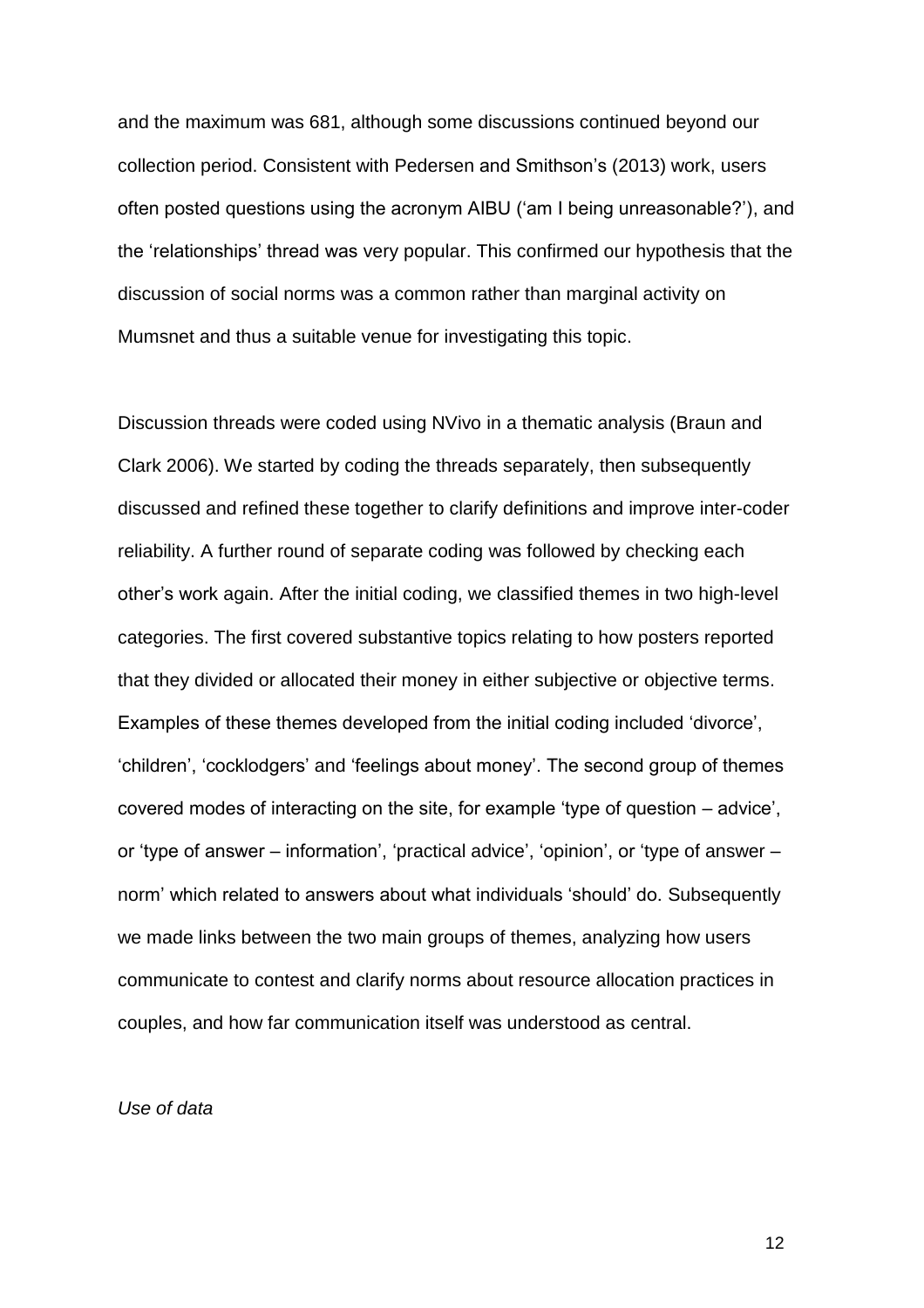and the maximum was 681, although some discussions continued beyond our collection period. Consistent with Pedersen and Smithson's (2013) work, users often posted questions using the acronym AIBU ('am I being unreasonable?'), and the 'relationships' thread was very popular. This confirmed our hypothesis that the discussion of social norms was a common rather than marginal activity on Mumsnet and thus a suitable venue for investigating this topic.

Discussion threads were coded using NVivo in a thematic analysis (Braun and Clark 2006). We started by coding the threads separately, then subsequently discussed and refined these together to clarify definitions and improve inter-coder reliability. A further round of separate coding was followed by checking each other's work again. After the initial coding, we classified themes in two high-level categories. The first covered substantive topics relating to how posters reported that they divided or allocated their money in either subjective or objective terms. Examples of these themes developed from the initial coding included 'divorce', 'children', 'cocklodgers' and 'feelings about money'. The second group of themes covered modes of interacting on the site, for example 'type of question – advice', or 'type of answer – information', 'practical advice', 'opinion', or 'type of answer – norm' which related to answers about what individuals 'should' do. Subsequently we made links between the two main groups of themes, analyzing how users communicate to contest and clarify norms about resource allocation practices in couples, and how far communication itself was understood as central.

### *Use of data*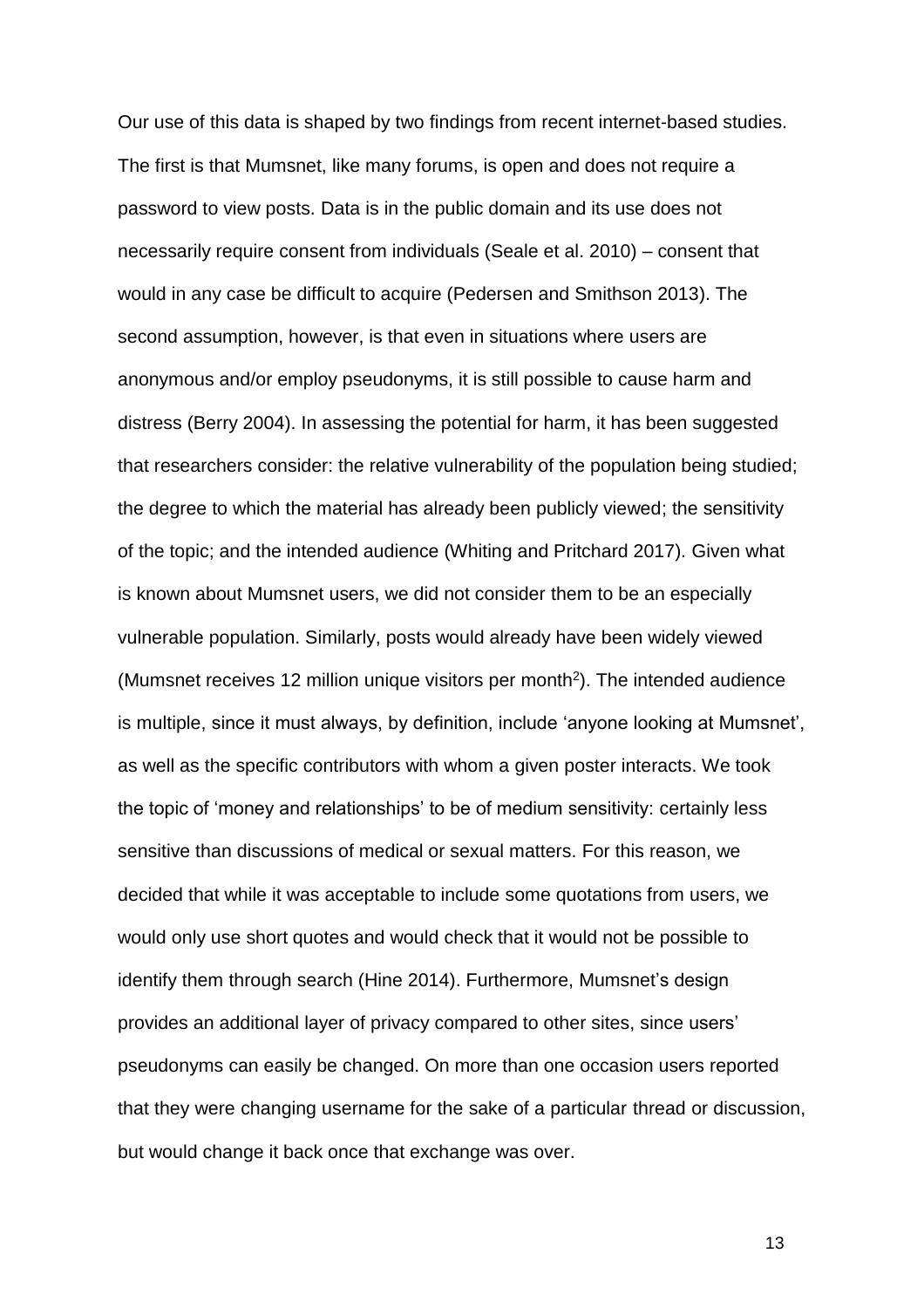Our use of this data is shaped by two findings from recent internet-based studies. The first is that Mumsnet, like many forums, is open and does not require a password to view posts. Data is in the public domain and its use does not necessarily require consent from individuals (Seale et al. 2010) – consent that would in any case be difficult to acquire (Pedersen and Smithson 2013). The second assumption, however, is that even in situations where users are anonymous and/or employ pseudonyms, it is still possible to cause harm and distress (Berry 2004). In assessing the potential for harm, it has been suggested that researchers consider: the relative vulnerability of the population being studied; the degree to which the material has already been publicly viewed; the sensitivity of the topic; and the intended audience (Whiting and Pritchard 2017). Given what is known about Mumsnet users, we did not consider them to be an especially vulnerable population. Similarly, posts would already have been widely viewed (Mumsnet receives 12 million unique visitors per month<sup>2</sup>). The intended audience is multiple, since it must always, by definition, include 'anyone looking at Mumsnet', as well as the specific contributors with whom a given poster interacts. We took the topic of 'money and relationships' to be of medium sensitivity: certainly less sensitive than discussions of medical or sexual matters. For this reason, we decided that while it was acceptable to include some quotations from users, we would only use short quotes and would check that it would not be possible to identify them through search (Hine 2014). Furthermore, Mumsnet's design provides an additional layer of privacy compared to other sites, since users' pseudonyms can easily be changed. On more than one occasion users reported that they were changing username for the sake of a particular thread or discussion, but would change it back once that exchange was over.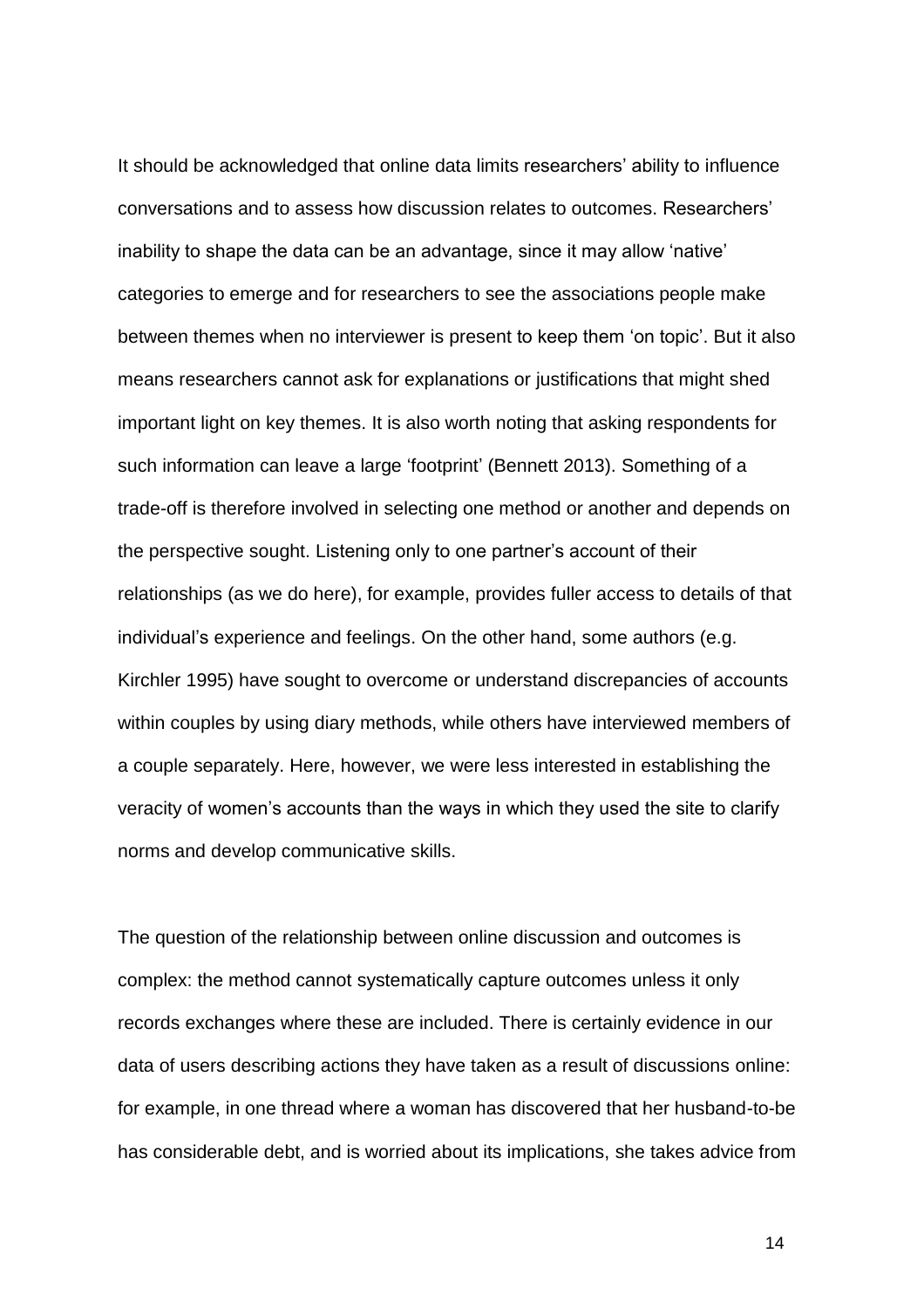It should be acknowledged that online data limits researchers' ability to influence conversations and to assess how discussion relates to outcomes. Researchers' inability to shape the data can be an advantage, since it may allow 'native' categories to emerge and for researchers to see the associations people make between themes when no interviewer is present to keep them 'on topic'. But it also means researchers cannot ask for explanations or justifications that might shed important light on key themes. It is also worth noting that asking respondents for such information can leave a large 'footprint' (Bennett 2013). Something of a trade-off is therefore involved in selecting one method or another and depends on the perspective sought. Listening only to one partner's account of their relationships (as we do here), for example, provides fuller access to details of that individual's experience and feelings. On the other hand, some authors (e.g. Kirchler 1995) have sought to overcome or understand discrepancies of accounts within couples by using diary methods, while others have interviewed members of a couple separately. Here, however, we were less interested in establishing the veracity of women's accounts than the ways in which they used the site to clarify norms and develop communicative skills.

The question of the relationship between online discussion and outcomes is complex: the method cannot systematically capture outcomes unless it only records exchanges where these are included. There is certainly evidence in our data of users describing actions they have taken as a result of discussions online: for example, in one thread where a woman has discovered that her husband-to-be has considerable debt, and is worried about its implications, she takes advice from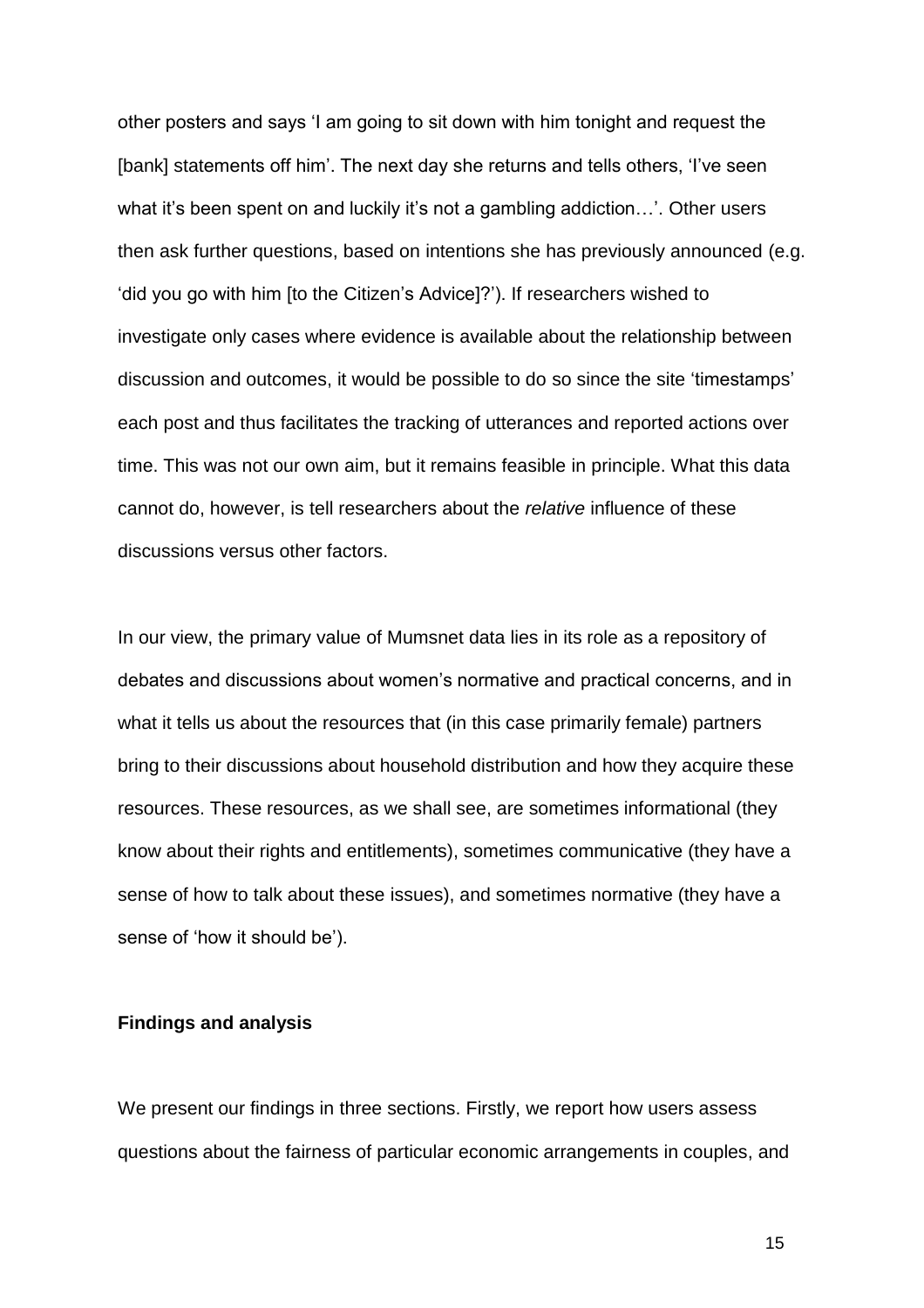other posters and says 'I am going to sit down with him tonight and request the [bank] statements off him'. The next day she returns and tells others, 'I've seen what it's been spent on and luckily it's not a gambling addiction...'. Other users then ask further questions, based on intentions she has previously announced (e.g. 'did you go with him [to the Citizen's Advice]?'). If researchers wished to investigate only cases where evidence is available about the relationship between discussion and outcomes, it would be possible to do so since the site 'timestamps' each post and thus facilitates the tracking of utterances and reported actions over time. This was not our own aim, but it remains feasible in principle. What this data cannot do, however, is tell researchers about the *relative* influence of these discussions versus other factors.

In our view, the primary value of Mumsnet data lies in its role as a repository of debates and discussions about women's normative and practical concerns, and in what it tells us about the resources that (in this case primarily female) partners bring to their discussions about household distribution and how they acquire these resources. These resources, as we shall see, are sometimes informational (they know about their rights and entitlements), sometimes communicative (they have a sense of how to talk about these issues), and sometimes normative (they have a sense of 'how it should be').

# **Findings and analysis**

We present our findings in three sections. Firstly, we report how users assess questions about the fairness of particular economic arrangements in couples, and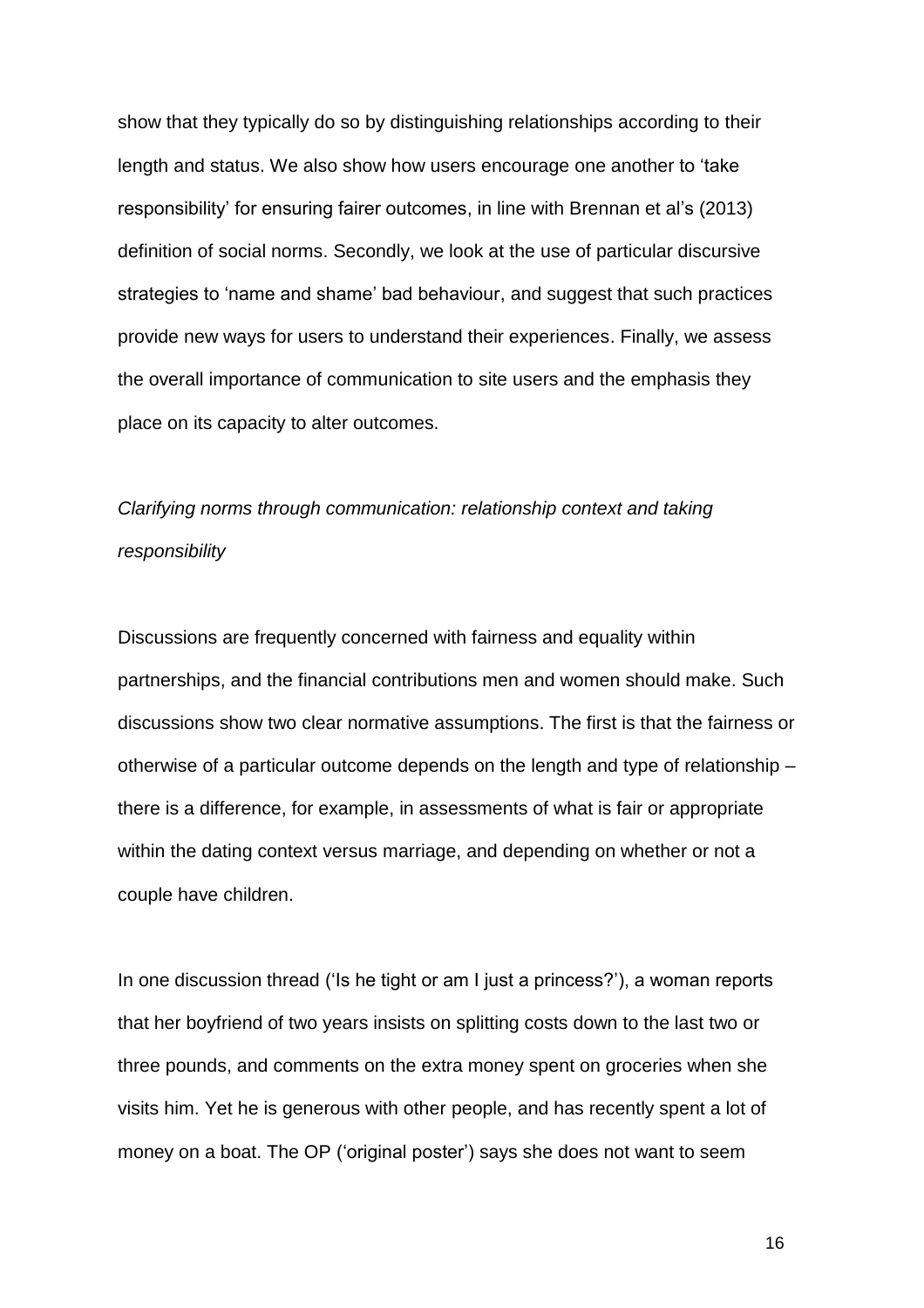show that they typically do so by distinguishing relationships according to their length and status. We also show how users encourage one another to 'take responsibility' for ensuring fairer outcomes, in line with Brennan et al's (2013) definition of social norms. Secondly, we look at the use of particular discursive strategies to 'name and shame' bad behaviour, and suggest that such practices provide new ways for users to understand their experiences. Finally, we assess the overall importance of communication to site users and the emphasis they place on its capacity to alter outcomes.

# *Clarifying norms through communication: relationship context and taking responsibility*

Discussions are frequently concerned with fairness and equality within partnerships, and the financial contributions men and women should make. Such discussions show two clear normative assumptions. The first is that the fairness or otherwise of a particular outcome depends on the length and type of relationship – there is a difference, for example, in assessments of what is fair or appropriate within the dating context versus marriage, and depending on whether or not a couple have children.

In one discussion thread ('Is he tight or am I just a princess?'), a woman reports that her boyfriend of two years insists on splitting costs down to the last two or three pounds, and comments on the extra money spent on groceries when she visits him. Yet he is generous with other people, and has recently spent a lot of money on a boat. The OP ('original poster') says she does not want to seem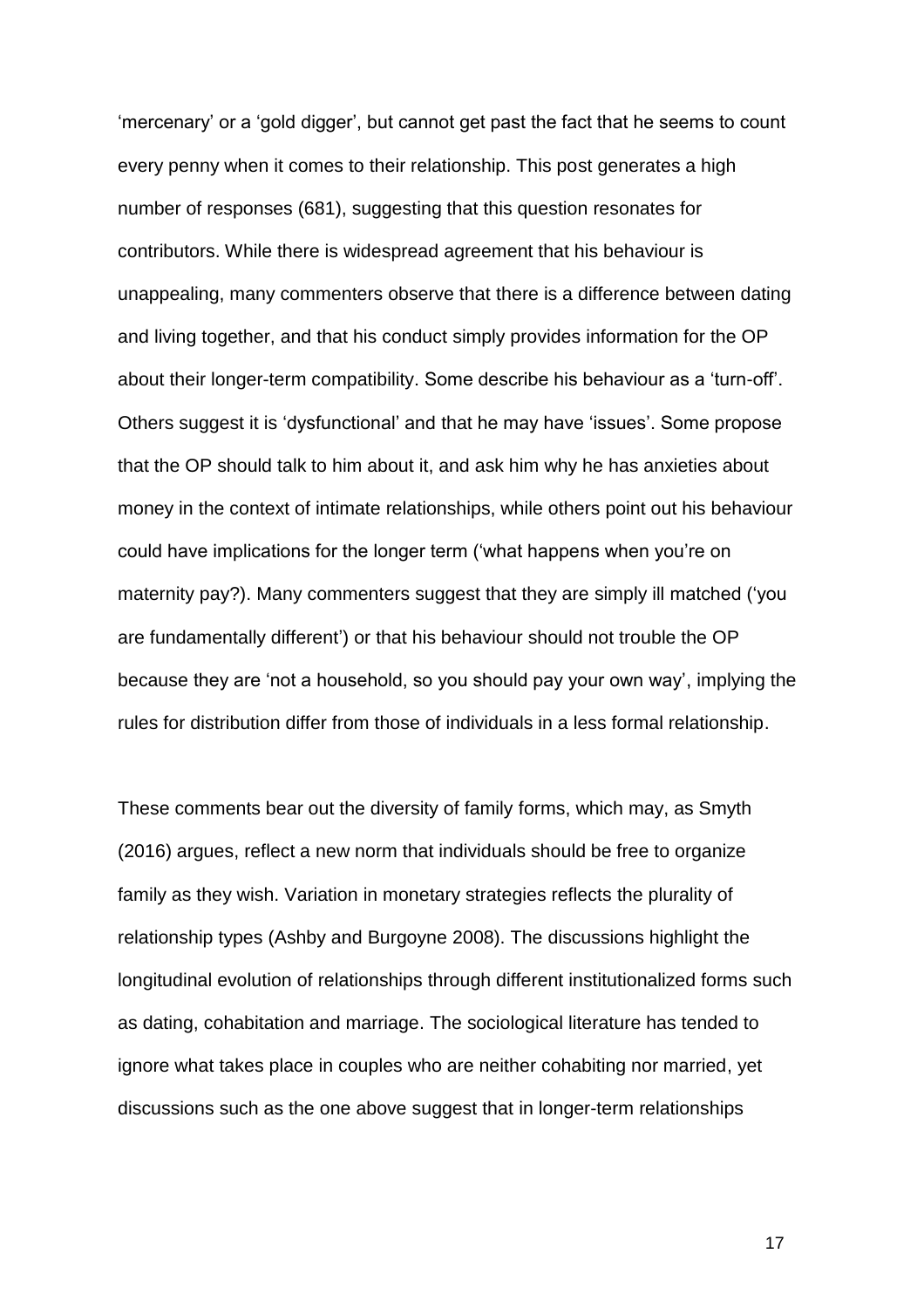'mercenary' or a 'gold digger', but cannot get past the fact that he seems to count every penny when it comes to their relationship. This post generates a high number of responses (681), suggesting that this question resonates for contributors. While there is widespread agreement that his behaviour is unappealing, many commenters observe that there is a difference between dating and living together, and that his conduct simply provides information for the OP about their longer-term compatibility. Some describe his behaviour as a 'turn-off'. Others suggest it is 'dysfunctional' and that he may have 'issues'. Some propose that the OP should talk to him about it, and ask him why he has anxieties about money in the context of intimate relationships, while others point out his behaviour could have implications for the longer term ('what happens when you're on maternity pay?). Many commenters suggest that they are simply ill matched ('you are fundamentally different') or that his behaviour should not trouble the OP because they are 'not a household, so you should pay your own way', implying the rules for distribution differ from those of individuals in a less formal relationship.

These comments bear out the diversity of family forms, which may, as Smyth (2016) argues, reflect a new norm that individuals should be free to organize family as they wish. Variation in monetary strategies reflects the plurality of relationship types (Ashby and Burgoyne 2008). The discussions highlight the longitudinal evolution of relationships through different institutionalized forms such as dating, cohabitation and marriage. The sociological literature has tended to ignore what takes place in couples who are neither cohabiting nor married, yet discussions such as the one above suggest that in longer-term relationships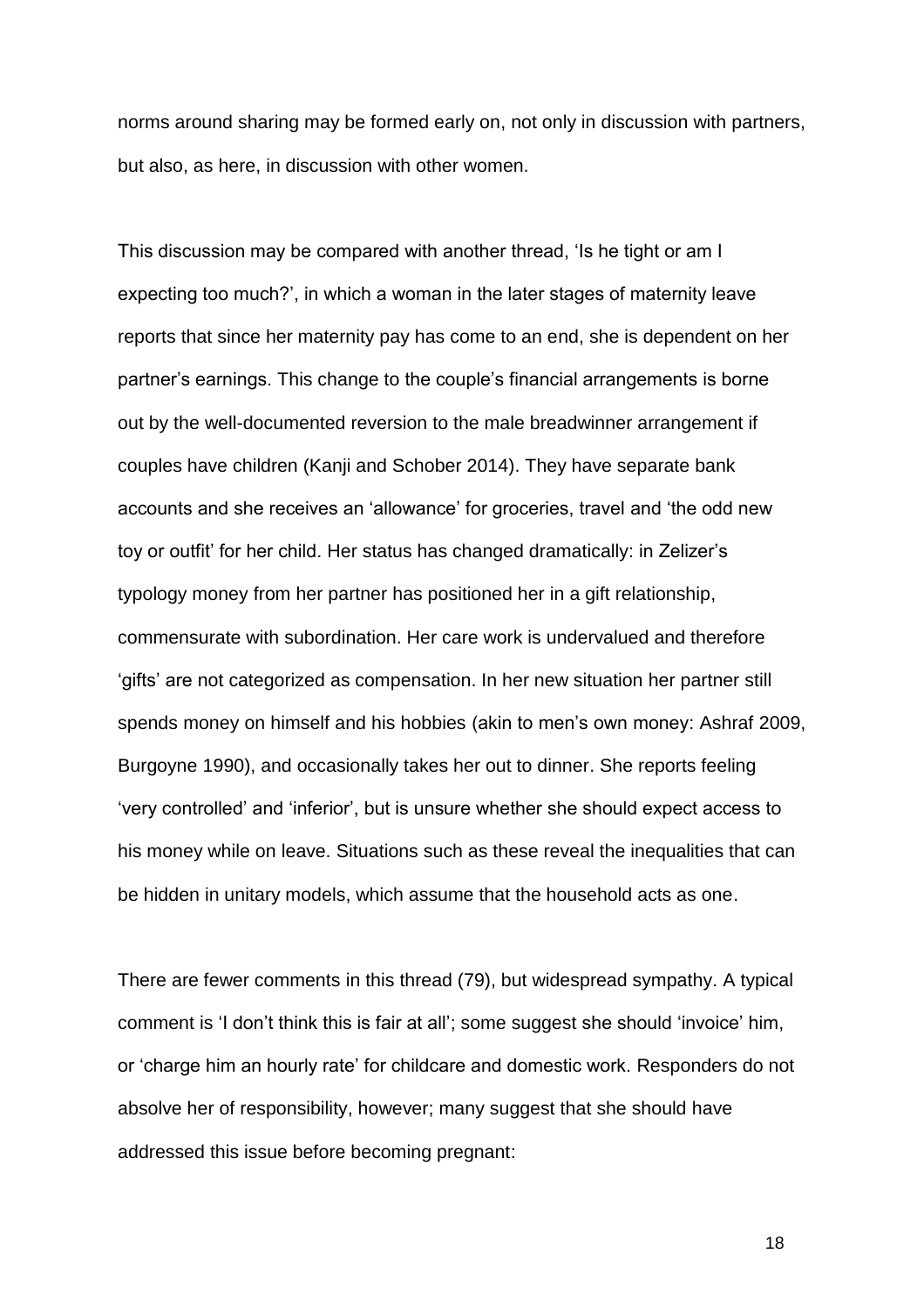norms around sharing may be formed early on, not only in discussion with partners, but also, as here, in discussion with other women.

This discussion may be compared with another thread, 'Is he tight or am I expecting too much?', in which a woman in the later stages of maternity leave reports that since her maternity pay has come to an end, she is dependent on her partner's earnings. This change to the couple's financial arrangements is borne out by the well-documented reversion to the male breadwinner arrangement if couples have children (Kanji and Schober 2014). They have separate bank accounts and she receives an 'allowance' for groceries, travel and 'the odd new toy or outfit' for her child. Her status has changed dramatically: in Zelizer's typology money from her partner has positioned her in a gift relationship, commensurate with subordination. Her care work is undervalued and therefore 'gifts' are not categorized as compensation. In her new situation her partner still spends money on himself and his hobbies (akin to men's own money: Ashraf 2009, Burgoyne 1990), and occasionally takes her out to dinner. She reports feeling 'very controlled' and 'inferior', but is unsure whether she should expect access to his money while on leave. Situations such as these reveal the inequalities that can be hidden in unitary models, which assume that the household acts as one.

There are fewer comments in this thread (79), but widespread sympathy. A typical comment is 'I don't think this is fair at all'; some suggest she should 'invoice' him, or 'charge him an hourly rate' for childcare and domestic work. Responders do not absolve her of responsibility, however; many suggest that she should have addressed this issue before becoming pregnant: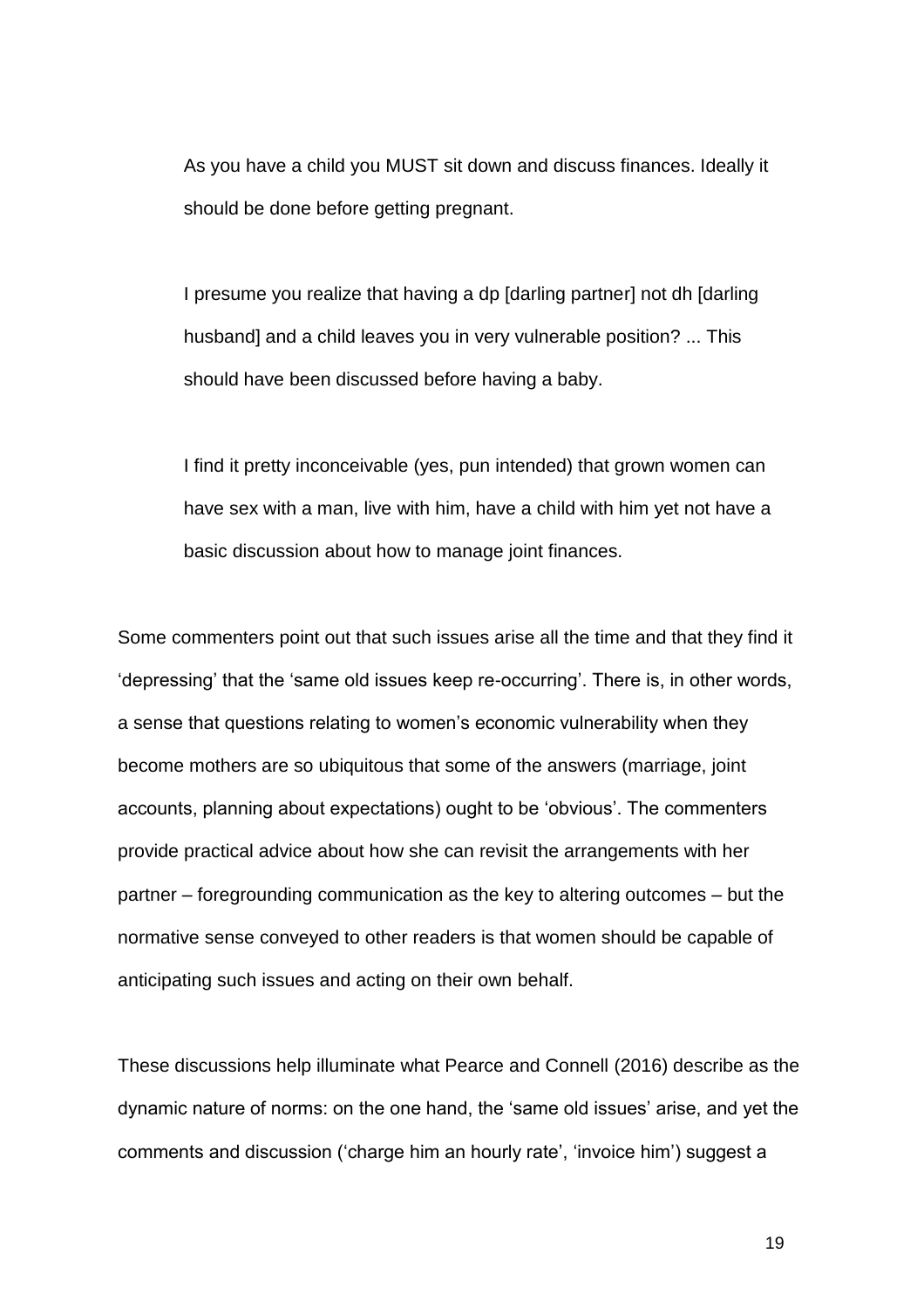As you have a child you MUST sit down and discuss finances. Ideally it should be done before getting pregnant.

I presume you realize that having a dp [darling partner] not dh [darling husband] and a child leaves you in very vulnerable position? ... This should have been discussed before having a baby.

I find it pretty inconceivable (yes, pun intended) that grown women can have sex with a man, live with him, have a child with him yet not have a basic discussion about how to manage joint finances.

Some commenters point out that such issues arise all the time and that they find it 'depressing' that the 'same old issues keep re-occurring'. There is, in other words, a sense that questions relating to women's economic vulnerability when they become mothers are so ubiquitous that some of the answers (marriage, joint accounts, planning about expectations) ought to be 'obvious'. The commenters provide practical advice about how she can revisit the arrangements with her partner – foregrounding communication as the key to altering outcomes – but the normative sense conveyed to other readers is that women should be capable of anticipating such issues and acting on their own behalf.

These discussions help illuminate what Pearce and Connell (2016) describe as the dynamic nature of norms: on the one hand, the 'same old issues' arise, and yet the comments and discussion ('charge him an hourly rate', 'invoice him') suggest a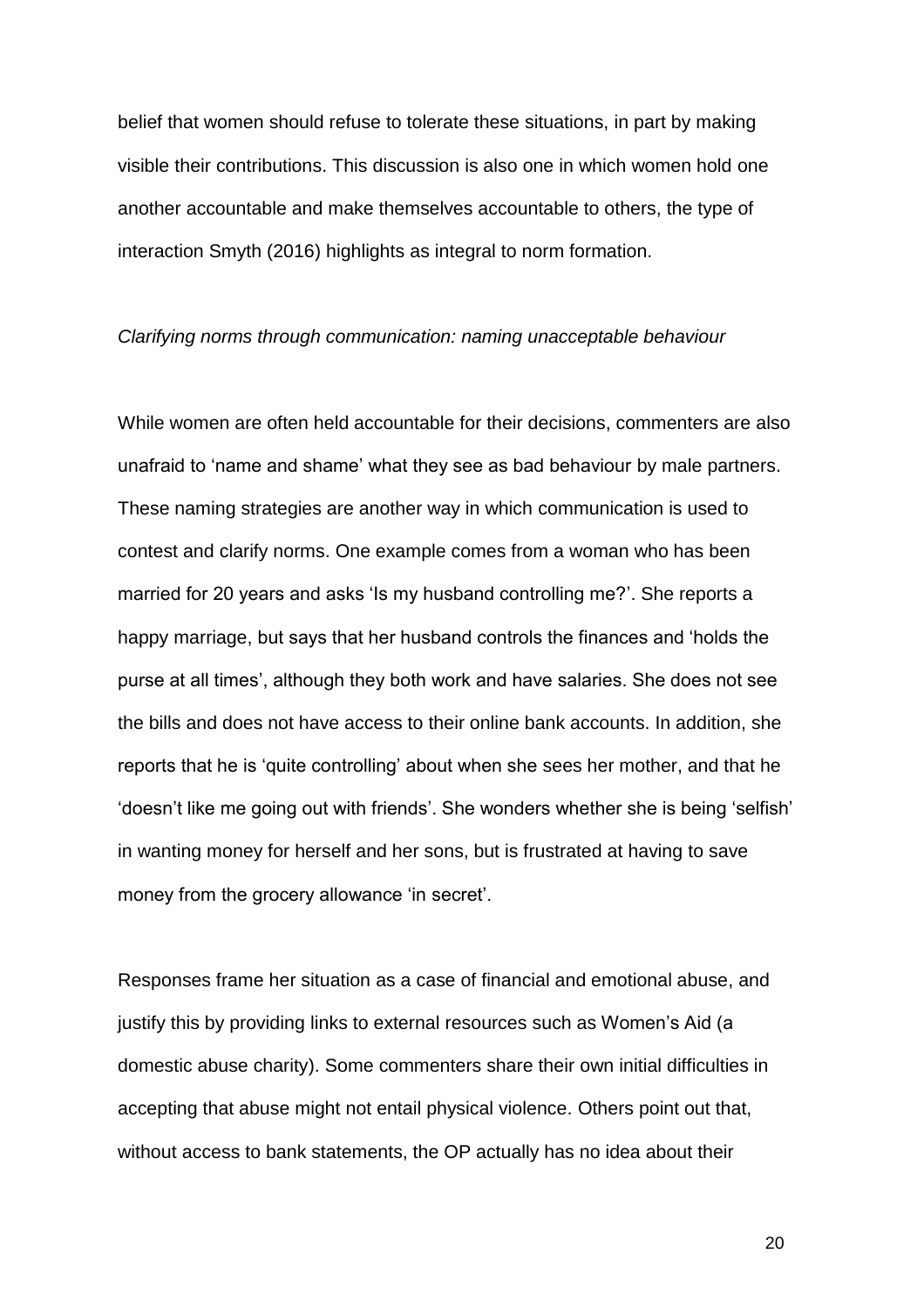belief that women should refuse to tolerate these situations, in part by making visible their contributions. This discussion is also one in which women hold one another accountable and make themselves accountable to others, the type of interaction Smyth (2016) highlights as integral to norm formation.

#### *Clarifying norms through communication: naming unacceptable behaviour*

While women are often held accountable for their decisions, commenters are also unafraid to 'name and shame' what they see as bad behaviour by male partners. These naming strategies are another way in which communication is used to contest and clarify norms. One example comes from a woman who has been married for 20 years and asks 'Is my husband controlling me?'. She reports a happy marriage, but says that her husband controls the finances and 'holds the purse at all times', although they both work and have salaries. She does not see the bills and does not have access to their online bank accounts. In addition, she reports that he is 'quite controlling' about when she sees her mother, and that he 'doesn't like me going out with friends'. She wonders whether she is being 'selfish' in wanting money for herself and her sons, but is frustrated at having to save money from the grocery allowance 'in secret'.

Responses frame her situation as a case of financial and emotional abuse, and justify this by providing links to external resources such as Women's Aid (a domestic abuse charity). Some commenters share their own initial difficulties in accepting that abuse might not entail physical violence. Others point out that, without access to bank statements, the OP actually has no idea about their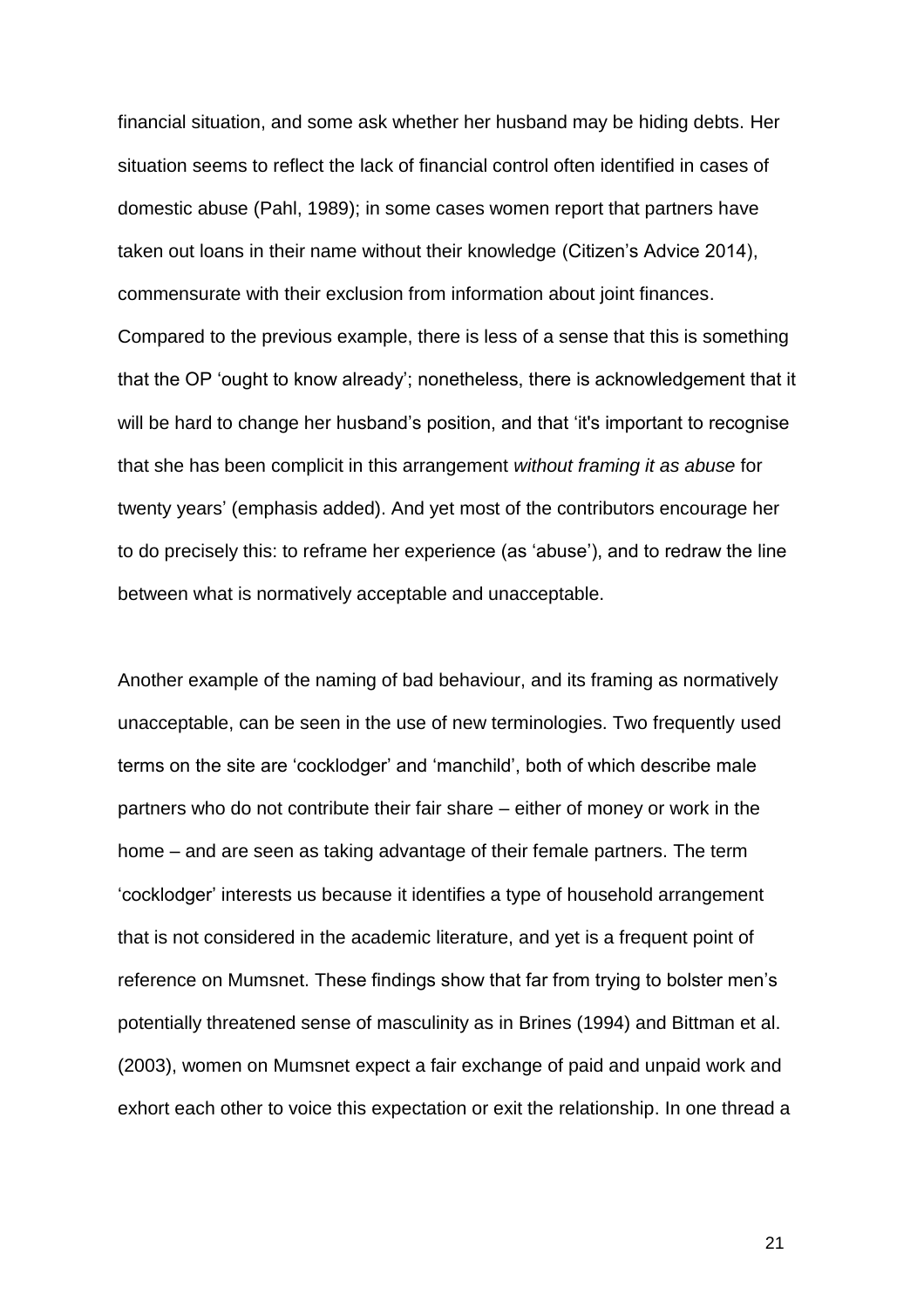financial situation, and some ask whether her husband may be hiding debts. Her situation seems to reflect the lack of financial control often identified in cases of domestic abuse (Pahl, 1989); in some cases women report that partners have taken out loans in their name without their knowledge (Citizen's Advice 2014), commensurate with their exclusion from information about joint finances. Compared to the previous example, there is less of a sense that this is something that the OP 'ought to know already'; nonetheless, there is acknowledgement that it will be hard to change her husband's position, and that 'it's important to recognise that she has been complicit in this arrangement *without framing it as abuse* for twenty years' (emphasis added). And yet most of the contributors encourage her to do precisely this: to reframe her experience (as 'abuse'), and to redraw the line between what is normatively acceptable and unacceptable.

Another example of the naming of bad behaviour, and its framing as normatively unacceptable, can be seen in the use of new terminologies. Two frequently used terms on the site are 'cocklodger' and 'manchild', both of which describe male partners who do not contribute their fair share – either of money or work in the home – and are seen as taking advantage of their female partners. The term 'cocklodger' interests us because it identifies a type of household arrangement that is not considered in the academic literature, and yet is a frequent point of reference on Mumsnet. These findings show that far from trying to bolster men's potentially threatened sense of masculinity as in Brines (1994) and Bittman et al. (2003), women on Mumsnet expect a fair exchange of paid and unpaid work and exhort each other to voice this expectation or exit the relationship. In one thread a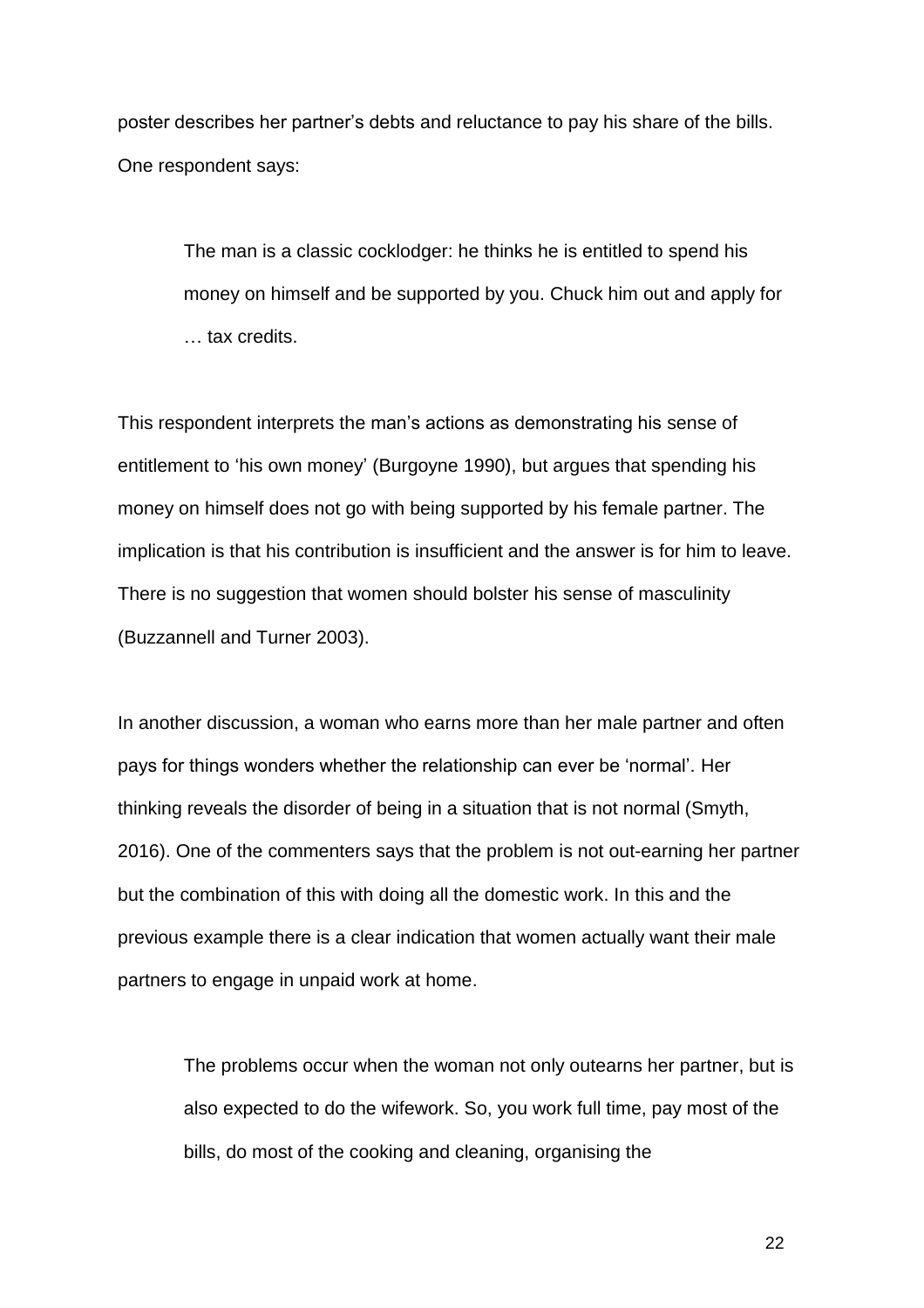poster describes her partner's debts and reluctance to pay his share of the bills. One respondent says:

> The man is a classic cocklodger: he thinks he is entitled to spend his money on himself and be supported by you. Chuck him out and apply for … tax credits.

This respondent interprets the man's actions as demonstrating his sense of entitlement to 'his own money' (Burgoyne 1990), but argues that spending his money on himself does not go with being supported by his female partner. The implication is that his contribution is insufficient and the answer is for him to leave. There is no suggestion that women should bolster his sense of masculinity (Buzzannell and Turner 2003).

In another discussion, a woman who earns more than her male partner and often pays for things wonders whether the relationship can ever be 'normal'. Her thinking reveals the disorder of being in a situation that is not normal (Smyth, 2016). One of the commenters says that the problem is not out-earning her partner but the combination of this with doing all the domestic work. In this and the previous example there is a clear indication that women actually want their male partners to engage in unpaid work at home.

The problems occur when the woman not only outearns her partner, but is also expected to do the wifework. So, you work full time, pay most of the bills, do most of the cooking and cleaning, organising the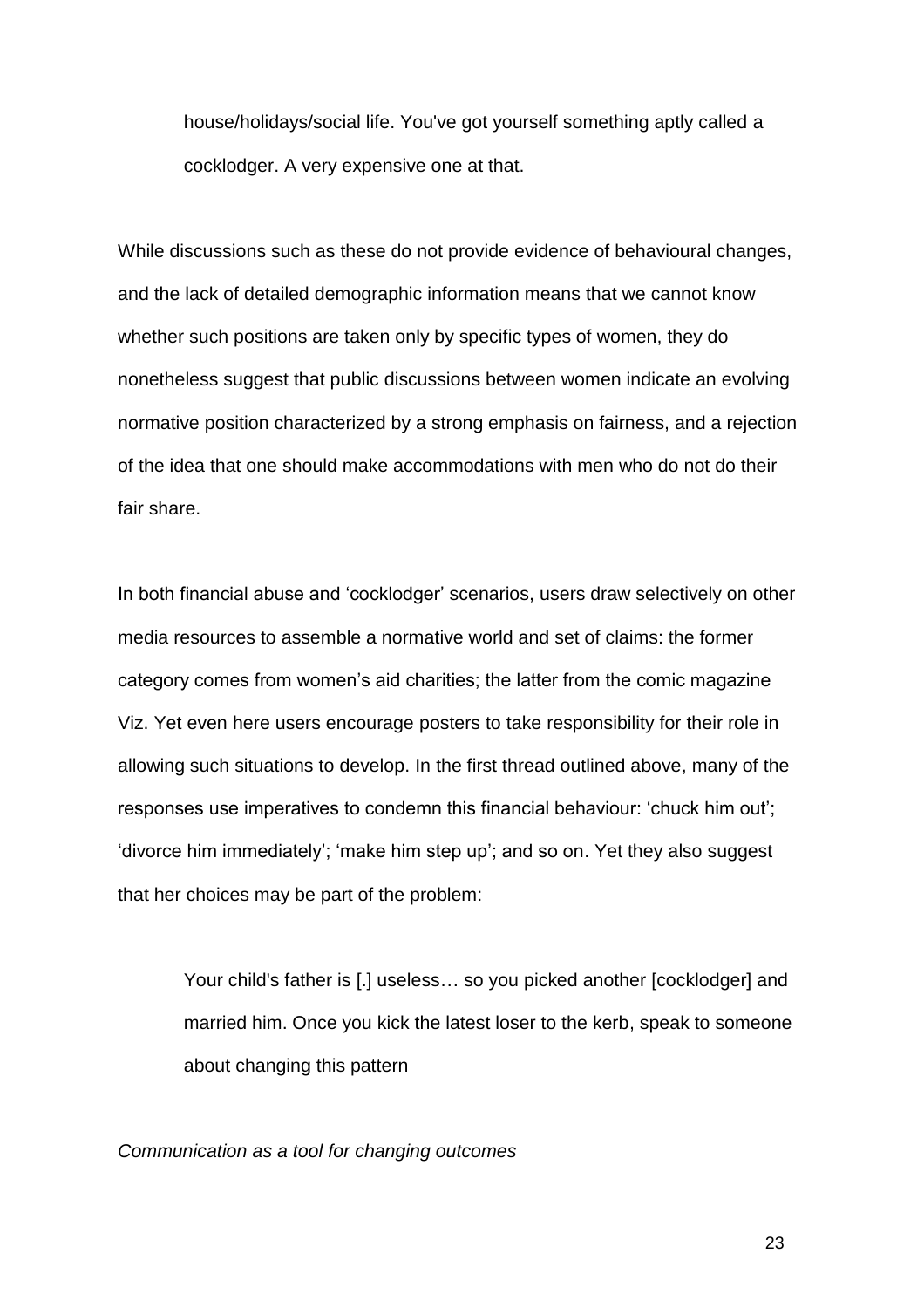house/holidays/social life. You've got yourself something aptly called a cocklodger. A very expensive one at that.

While discussions such as these do not provide evidence of behavioural changes, and the lack of detailed demographic information means that we cannot know whether such positions are taken only by specific types of women, they do nonetheless suggest that public discussions between women indicate an evolving normative position characterized by a strong emphasis on fairness, and a rejection of the idea that one should make accommodations with men who do not do their fair share.

In both financial abuse and 'cocklodger' scenarios, users draw selectively on other media resources to assemble a normative world and set of claims: the former category comes from women's aid charities; the latter from the comic magazine Viz. Yet even here users encourage posters to take responsibility for their role in allowing such situations to develop. In the first thread outlined above, many of the responses use imperatives to condemn this financial behaviour: 'chuck him out'; 'divorce him immediately'; 'make him step up'; and so on. Yet they also suggest that her choices may be part of the problem:

Your child's father is [.] useless… so you picked another [cocklodger] and married him. Once you kick the latest loser to the kerb, speak to someone about changing this pattern

*Communication as a tool for changing outcomes*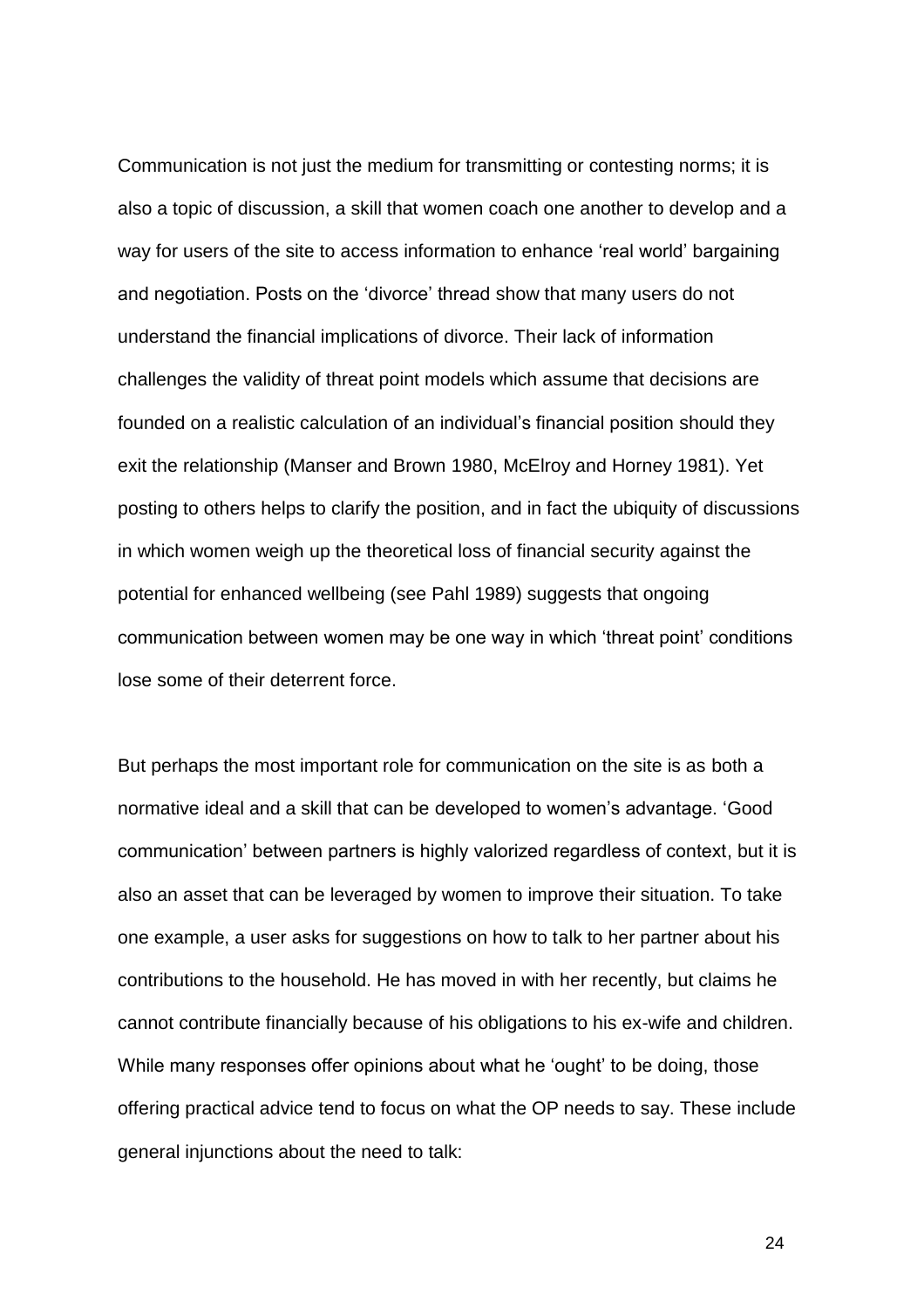Communication is not just the medium for transmitting or contesting norms; it is also a topic of discussion, a skill that women coach one another to develop and a way for users of the site to access information to enhance 'real world' bargaining and negotiation. Posts on the 'divorce' thread show that many users do not understand the financial implications of divorce. Their lack of information challenges the validity of threat point models which assume that decisions are founded on a realistic calculation of an individual's financial position should they exit the relationship (Manser and Brown 1980, McElroy and Horney 1981). Yet posting to others helps to clarify the position, and in fact the ubiquity of discussions in which women weigh up the theoretical loss of financial security against the potential for enhanced wellbeing (see Pahl 1989) suggests that ongoing communication between women may be one way in which 'threat point' conditions lose some of their deterrent force.

But perhaps the most important role for communication on the site is as both a normative ideal and a skill that can be developed to women's advantage. 'Good communication' between partners is highly valorized regardless of context, but it is also an asset that can be leveraged by women to improve their situation. To take one example, a user asks for suggestions on how to talk to her partner about his contributions to the household. He has moved in with her recently, but claims he cannot contribute financially because of his obligations to his ex-wife and children. While many responses offer opinions about what he 'ought' to be doing, those offering practical advice tend to focus on what the OP needs to say. These include general injunctions about the need to talk: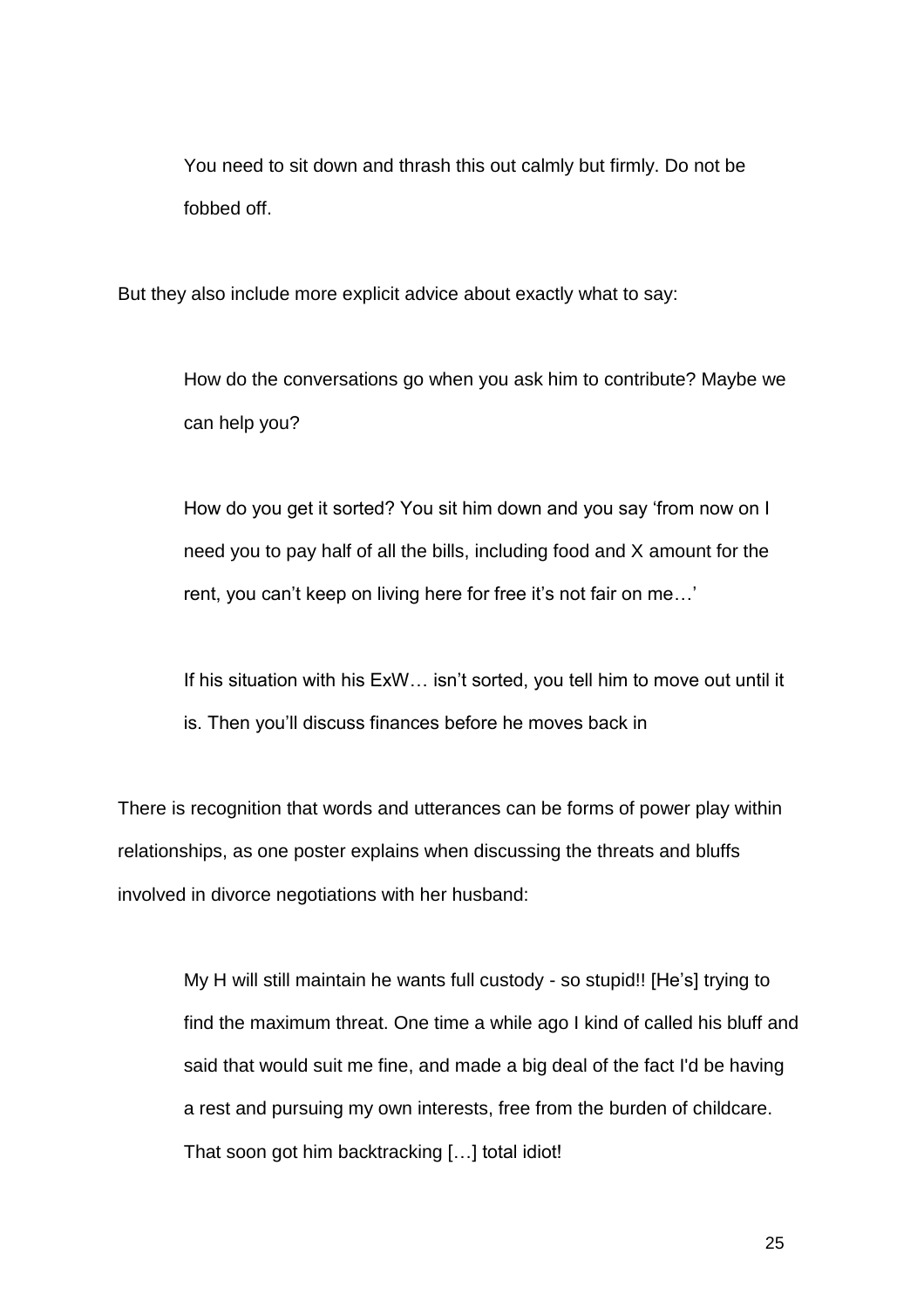You need to sit down and thrash this out calmly but firmly. Do not be fobbed off.

But they also include more explicit advice about exactly what to say:

How do the conversations go when you ask him to contribute? Maybe we can help you?

How do you get it sorted? You sit him down and you say 'from now on I need you to pay half of all the bills, including food and X amount for the rent, you can't keep on living here for free it's not fair on me…'

If his situation with his ExW… isn't sorted, you tell him to move out until it is. Then you'll discuss finances before he moves back in

There is recognition that words and utterances can be forms of power play within relationships, as one poster explains when discussing the threats and bluffs involved in divorce negotiations with her husband:

My H will still maintain he wants full custody - so stupid!! [He's] trying to find the maximum threat. One time a while ago I kind of called his bluff and said that would suit me fine, and made a big deal of the fact I'd be having a rest and pursuing my own interests, free from the burden of childcare. That soon got him backtracking […] total idiot!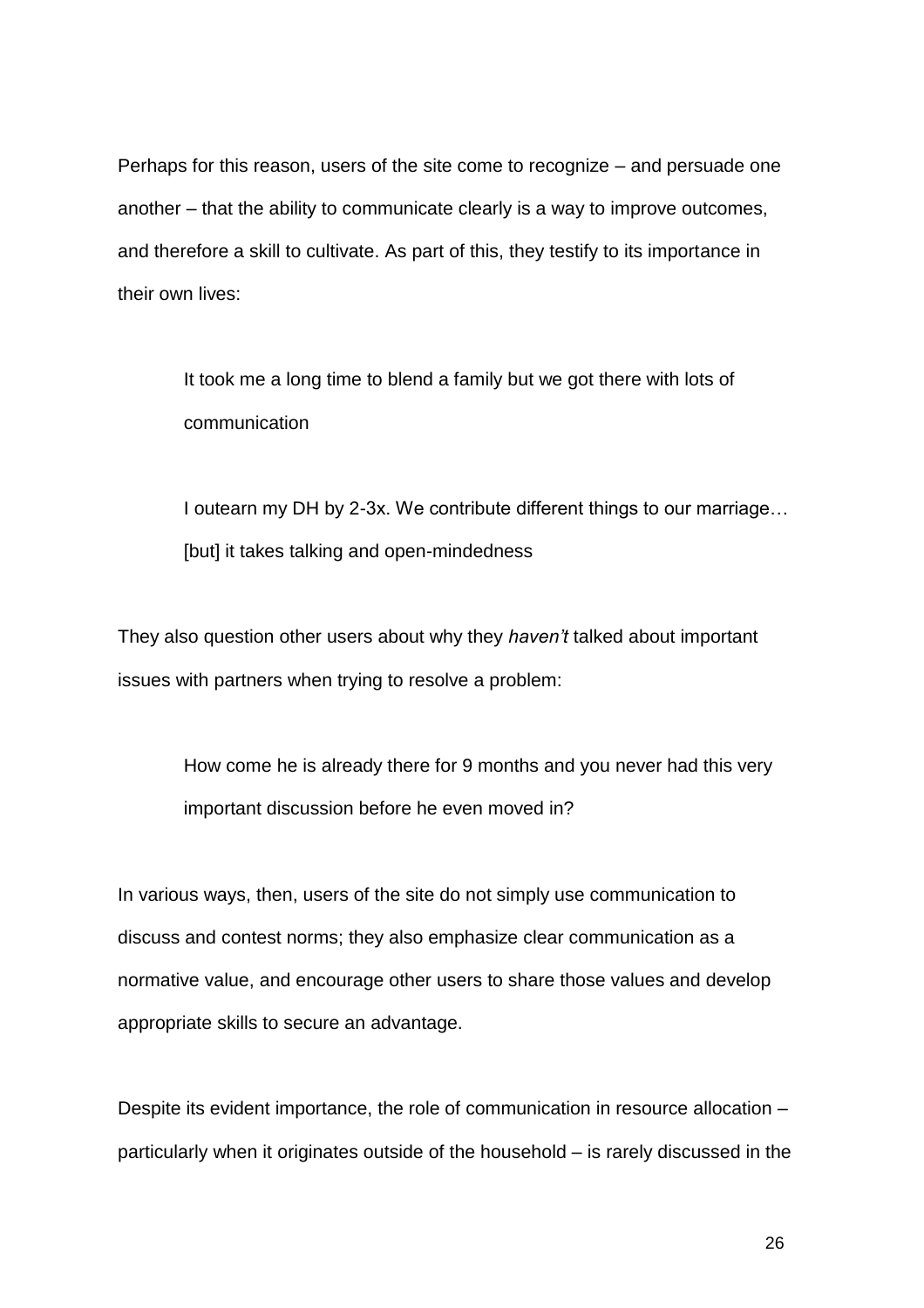Perhaps for this reason, users of the site come to recognize – and persuade one another – that the ability to communicate clearly is a way to improve outcomes, and therefore a skill to cultivate. As part of this, they testify to its importance in their own lives:

It took me a long time to blend a family but we got there with lots of communication

I outearn my DH by 2-3x. We contribute different things to our marriage… [but] it takes talking and open-mindedness

They also question other users about why they *haven't* talked about important issues with partners when trying to resolve a problem:

How come he is already there for 9 months and you never had this very important discussion before he even moved in?

In various ways, then, users of the site do not simply use communication to discuss and contest norms; they also emphasize clear communication as a normative value, and encourage other users to share those values and develop appropriate skills to secure an advantage.

Despite its evident importance, the role of communication in resource allocation – particularly when it originates outside of the household – is rarely discussed in the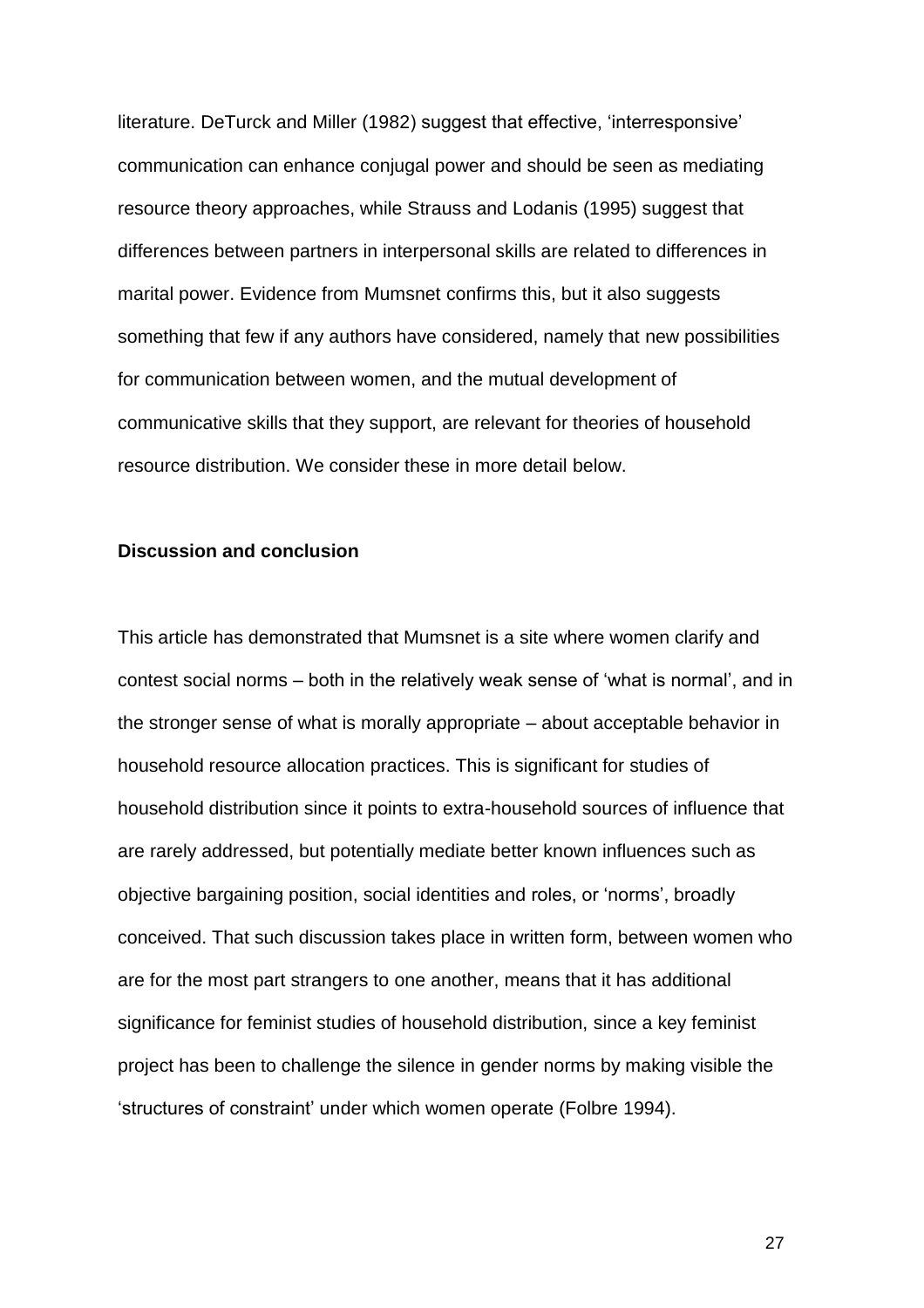literature. DeTurck and Miller (1982) suggest that effective, 'interresponsive' communication can enhance conjugal power and should be seen as mediating resource theory approaches, while Strauss and Lodanis (1995) suggest that differences between partners in interpersonal skills are related to differences in marital power. Evidence from Mumsnet confirms this, but it also suggests something that few if any authors have considered, namely that new possibilities for communication between women, and the mutual development of communicative skills that they support, are relevant for theories of household resource distribution. We consider these in more detail below.

## **Discussion and conclusion**

This article has demonstrated that Mumsnet is a site where women clarify and contest social norms – both in the relatively weak sense of 'what is normal', and in the stronger sense of what is morally appropriate – about acceptable behavior in household resource allocation practices. This is significant for studies of household distribution since it points to extra-household sources of influence that are rarely addressed, but potentially mediate better known influences such as objective bargaining position, social identities and roles, or 'norms', broadly conceived. That such discussion takes place in written form, between women who are for the most part strangers to one another, means that it has additional significance for feminist studies of household distribution, since a key feminist project has been to challenge the silence in gender norms by making visible the 'structures of constraint' under which women operate (Folbre 1994).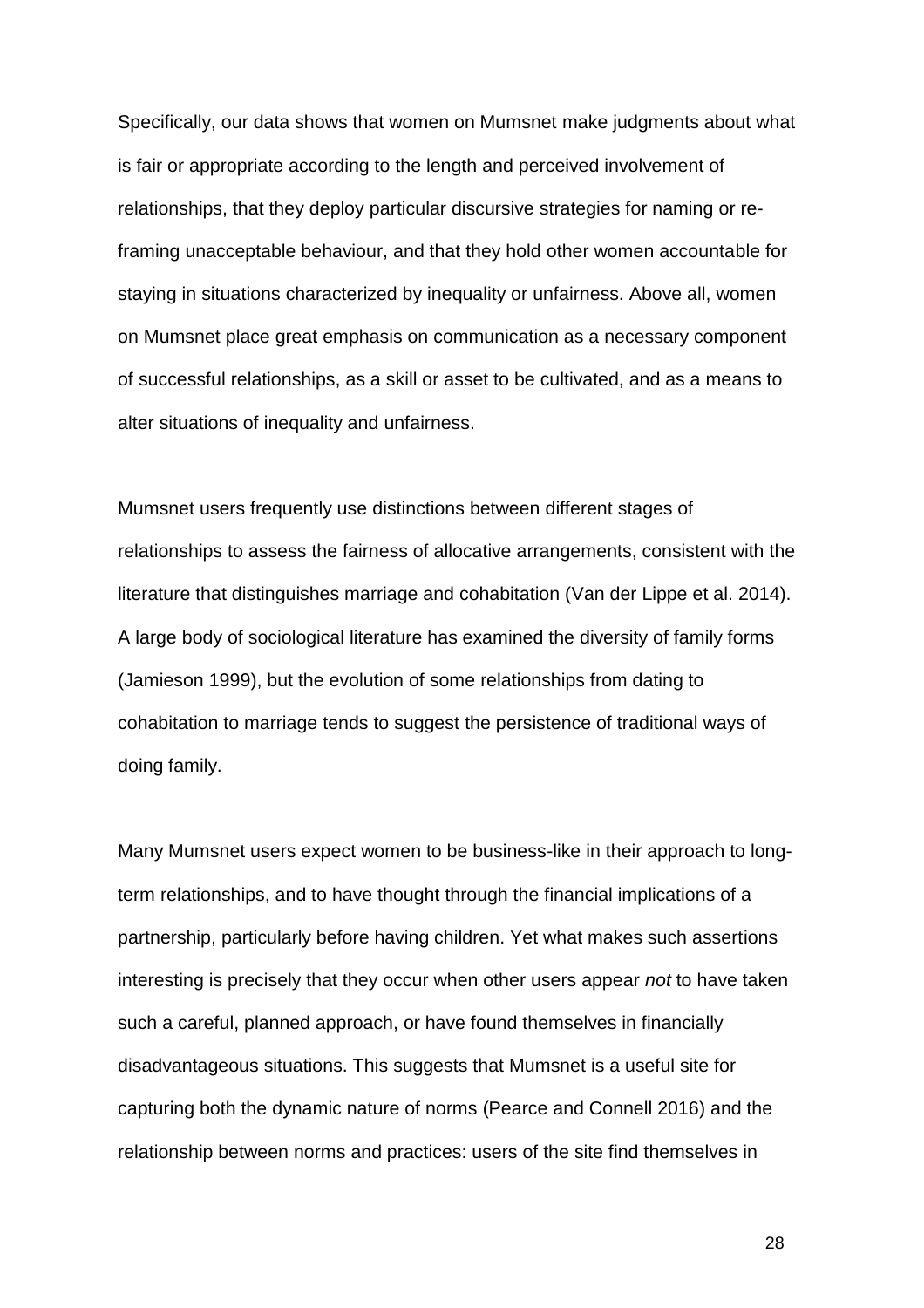Specifically, our data shows that women on Mumsnet make judgments about what is fair or appropriate according to the length and perceived involvement of relationships, that they deploy particular discursive strategies for naming or reframing unacceptable behaviour, and that they hold other women accountable for staying in situations characterized by inequality or unfairness. Above all, women on Mumsnet place great emphasis on communication as a necessary component of successful relationships, as a skill or asset to be cultivated, and as a means to alter situations of inequality and unfairness.

Mumsnet users frequently use distinctions between different stages of relationships to assess the fairness of allocative arrangements, consistent with the literature that distinguishes marriage and cohabitation (Van der Lippe et al. 2014). A large body of sociological literature has examined the diversity of family forms (Jamieson 1999), but the evolution of some relationships from dating to cohabitation to marriage tends to suggest the persistence of traditional ways of doing family.

Many Mumsnet users expect women to be business-like in their approach to longterm relationships, and to have thought through the financial implications of a partnership, particularly before having children. Yet what makes such assertions interesting is precisely that they occur when other users appear *not* to have taken such a careful, planned approach, or have found themselves in financially disadvantageous situations. This suggests that Mumsnet is a useful site for capturing both the dynamic nature of norms (Pearce and Connell 2016) and the relationship between norms and practices: users of the site find themselves in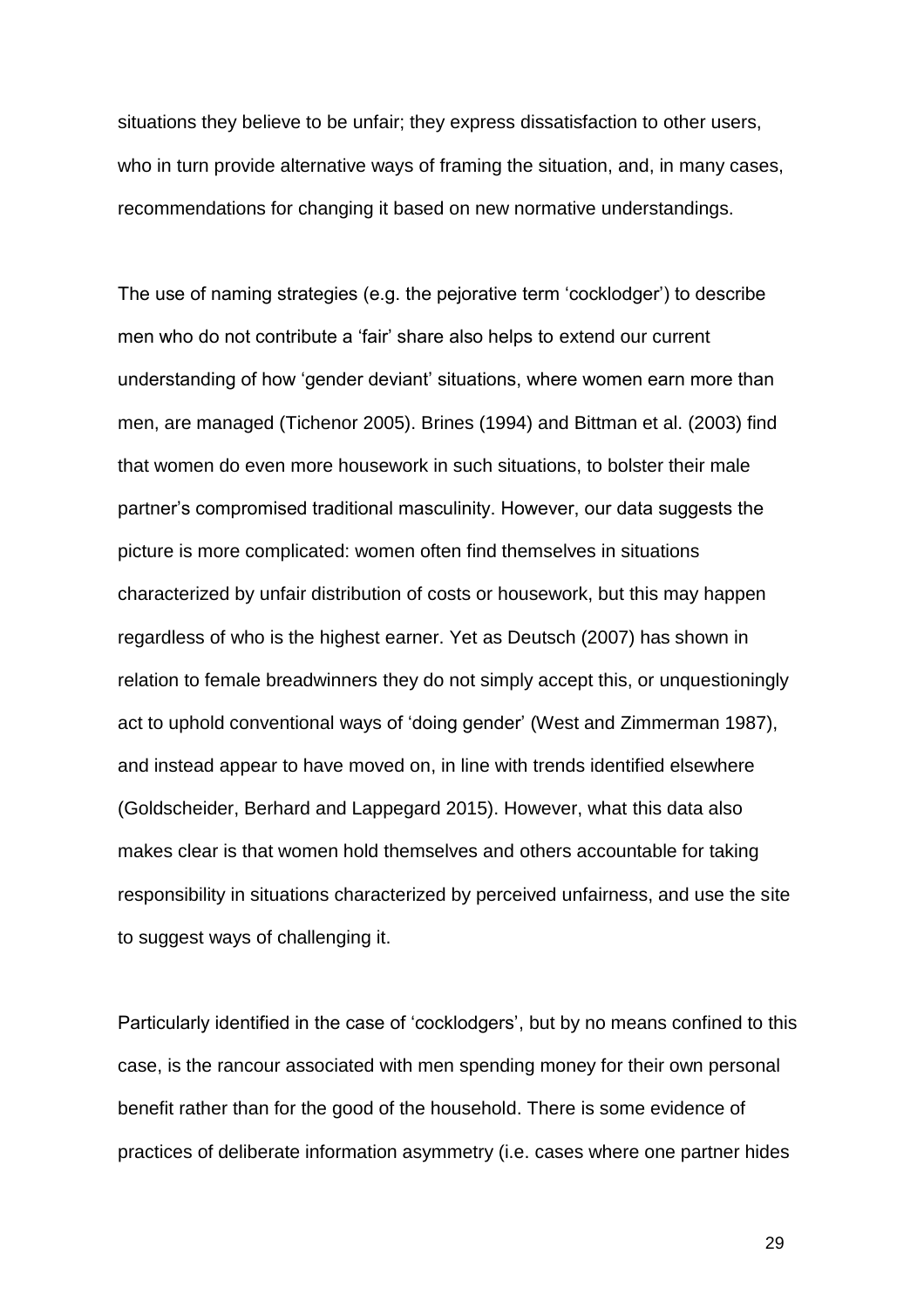situations they believe to be unfair; they express dissatisfaction to other users, who in turn provide alternative ways of framing the situation, and, in many cases, recommendations for changing it based on new normative understandings.

The use of naming strategies (e.g. the pejorative term 'cocklodger') to describe men who do not contribute a 'fair' share also helps to extend our current understanding of how 'gender deviant' situations, where women earn more than men, are managed (Tichenor 2005). Brines (1994) and Bittman et al. (2003) find that women do even more housework in such situations, to bolster their male partner's compromised traditional masculinity. However, our data suggests the picture is more complicated: women often find themselves in situations characterized by unfair distribution of costs or housework, but this may happen regardless of who is the highest earner. Yet as Deutsch (2007) has shown in relation to female breadwinners they do not simply accept this, or unquestioningly act to uphold conventional ways of 'doing gender' (West and Zimmerman 1987), and instead appear to have moved on, in line with trends identified elsewhere (Goldscheider, Berhard and Lappegard 2015). However, what this data also makes clear is that women hold themselves and others accountable for taking responsibility in situations characterized by perceived unfairness, and use the site to suggest ways of challenging it.

Particularly identified in the case of 'cocklodgers', but by no means confined to this case, is the rancour associated with men spending money for their own personal benefit rather than for the good of the household. There is some evidence of practices of deliberate information asymmetry (i.e. cases where one partner hides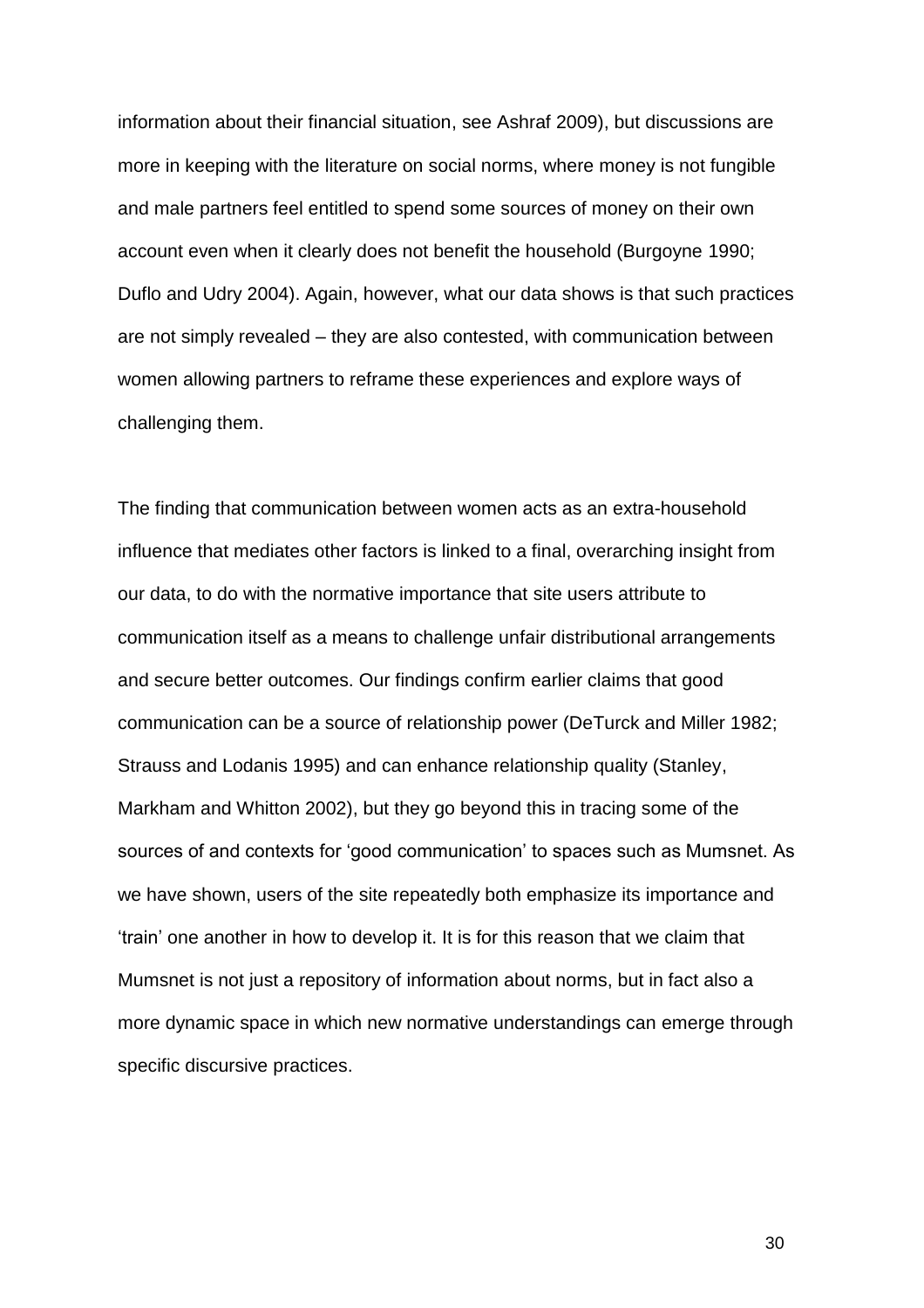information about their financial situation, see Ashraf 2009), but discussions are more in keeping with the literature on social norms, where money is not fungible and male partners feel entitled to spend some sources of money on their own account even when it clearly does not benefit the household (Burgoyne 1990; Duflo and Udry 2004). Again, however, what our data shows is that such practices are not simply revealed – they are also contested, with communication between women allowing partners to reframe these experiences and explore ways of challenging them.

The finding that communication between women acts as an extra-household influence that mediates other factors is linked to a final, overarching insight from our data, to do with the normative importance that site users attribute to communication itself as a means to challenge unfair distributional arrangements and secure better outcomes. Our findings confirm earlier claims that good communication can be a source of relationship power (DeTurck and Miller 1982; Strauss and Lodanis 1995) and can enhance relationship quality (Stanley, Markham and Whitton 2002), but they go beyond this in tracing some of the sources of and contexts for 'good communication' to spaces such as Mumsnet. As we have shown, users of the site repeatedly both emphasize its importance and 'train' one another in how to develop it. It is for this reason that we claim that Mumsnet is not just a repository of information about norms, but in fact also a more dynamic space in which new normative understandings can emerge through specific discursive practices.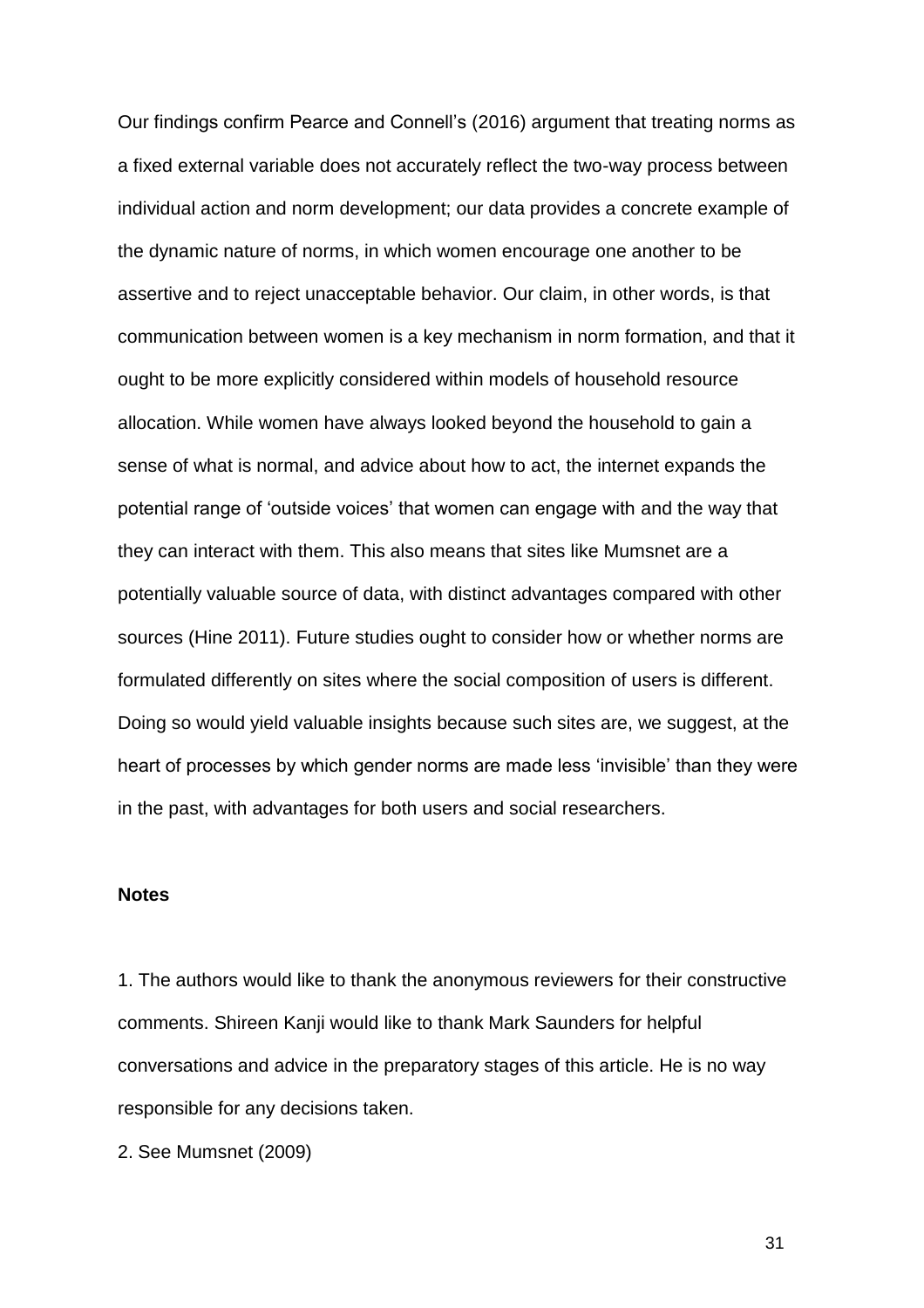Our findings confirm Pearce and Connell's (2016) argument that treating norms as a fixed external variable does not accurately reflect the two-way process between individual action and norm development; our data provides a concrete example of the dynamic nature of norms, in which women encourage one another to be assertive and to reject unacceptable behavior. Our claim, in other words, is that communication between women is a key mechanism in norm formation, and that it ought to be more explicitly considered within models of household resource allocation. While women have always looked beyond the household to gain a sense of what is normal, and advice about how to act, the internet expands the potential range of 'outside voices' that women can engage with and the way that they can interact with them. This also means that sites like Mumsnet are a potentially valuable source of data, with distinct advantages compared with other sources (Hine 2011). Future studies ought to consider how or whether norms are formulated differently on sites where the social composition of users is different. Doing so would yield valuable insights because such sites are, we suggest, at the heart of processes by which gender norms are made less 'invisible' than they were in the past, with advantages for both users and social researchers.

# **Notes**

1. The authors would like to thank the anonymous reviewers for their constructive comments. Shireen Kanji would like to thank Mark Saunders for helpful conversations and advice in the preparatory stages of this article. He is no way responsible for any decisions taken.

2. See Mumsnet (2009)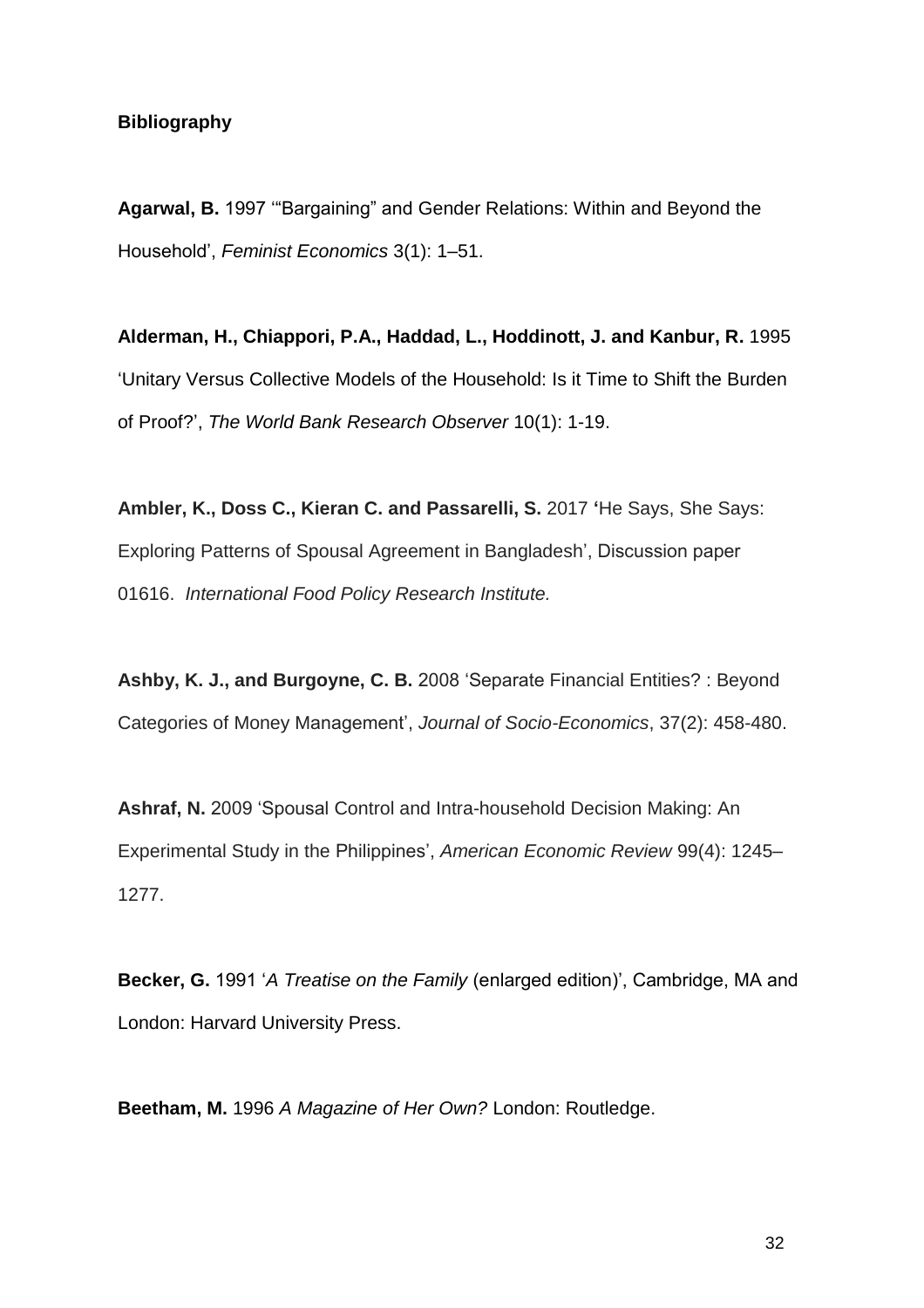# **Bibliography**

**Agarwal, B.** 1997 '"Bargaining" and Gender Relations: Within and Beyond the Household', *Feminist Economics* 3(1): 1–51.

**Alderman, H., Chiappori, P.A., Haddad, L., Hoddinott, J. and Kanbur, R.** 1995 'Unitary Versus Collective Models of the Household: Is it Time to Shift the Burden of Proof?', *The World Bank Research Observer* 10(1): 1-19.

**Ambler, K., Doss C., Kieran C. and Passarelli, S.** 2017 **'**He Says, She Says: Exploring Patterns of Spousal Agreement in Bangladesh', Discussion paper 01616. *International Food Policy Research Institute.*

**Ashby, K. J., and Burgoyne, C. B.** 2008 'Separate Financial Entities? : Beyond Categories of Money Management', *Journal of Socio-Economics*, 37(2): 458-480.

**Ashraf, N.** 2009 'Spousal Control and Intra-household Decision Making: An Experimental Study in the Philippines', *American Economic Review* 99(4): 1245– 1277.

**Becker, G.** 1991 '*A Treatise on the Family* (enlarged edition)', Cambridge, MA and London: Harvard University Press.

**Beetham, M.** 1996 *A Magazine of Her Own?* London: Routledge.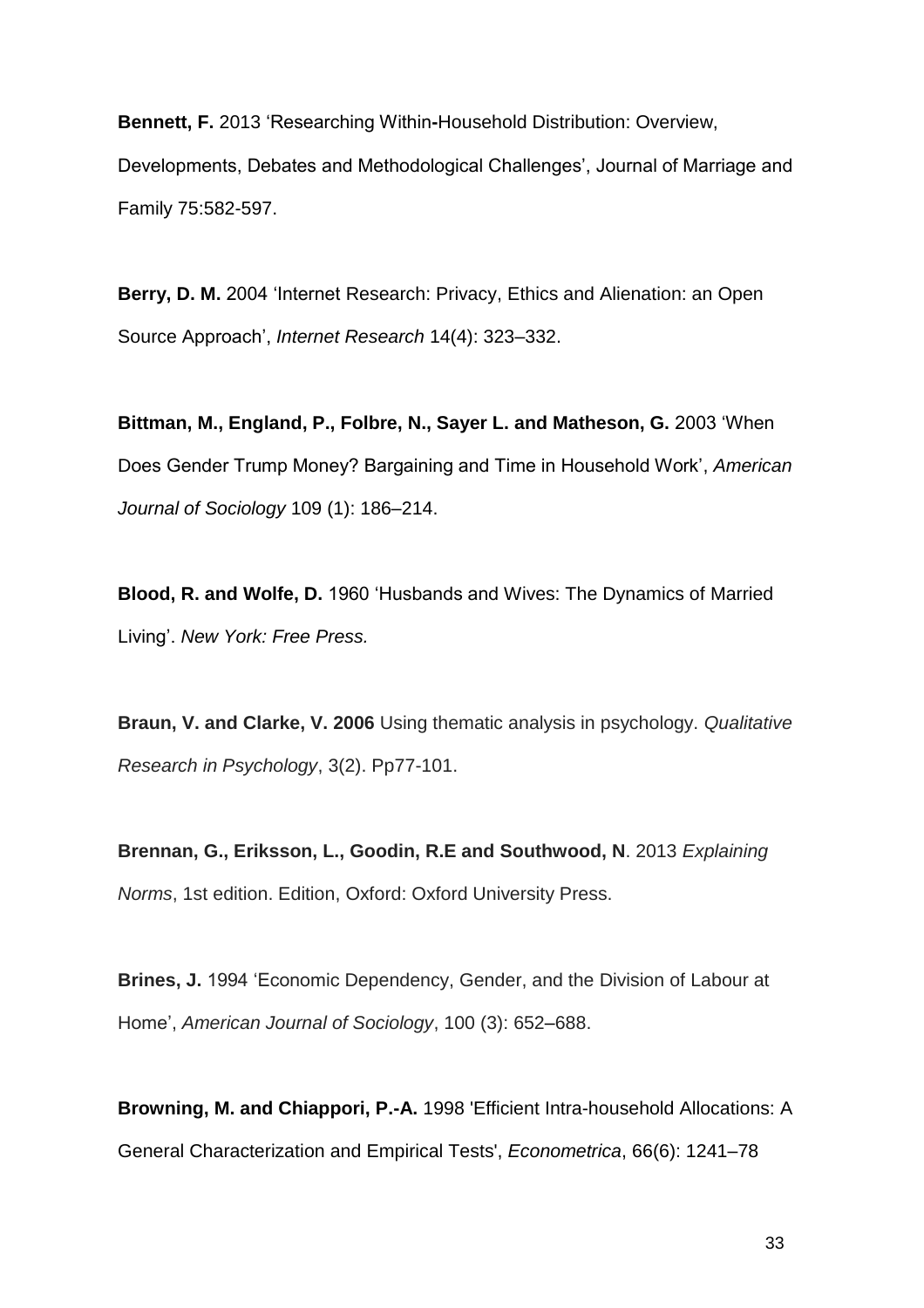**Bennett, F.** 2013 'Researching Within**-**Household Distribution: Overview, Developments, Debates and Methodological Challenges', Journal of Marriage and Family 75:582-597.

**Berry, D. M.** 2004 'Internet Research: Privacy, Ethics and Alienation: an Open Source Approach', *Internet Research* 14(4): 323–332.

**Bittman, M., England, P., Folbre, N., Sayer L. and Matheson, G.** 2003 'When Does Gender Trump Money? Bargaining and Time in Household Work', *American Journal of Sociology* 109 (1): 186–214.

**Blood, R. and Wolfe, D.** 1960 'Husbands and Wives: The Dynamics of Married Living'. *New York: Free Press.*

**Braun, V. and Clarke, V. 2006** Using thematic analysis in psychology. *Qualitative Research in Psychology*, 3(2). Pp77-101.

**Brennan, G., Eriksson, L., Goodin, R.E and Southwood, N**. 2013 *Explaining Norms*, 1st edition. Edition, Oxford: Oxford University Press.

**Brines, J.** 1994 'Economic Dependency, Gender, and the Division of Labour at Home', *American Journal of Sociology*, 100 (3): 652–688.

**Browning, M. and Chiappori, P.-A.** 1998 'Efficient Intra-household Allocations: A General Characterization and Empirical Tests', *Econometrica*, 66(6): 1241–78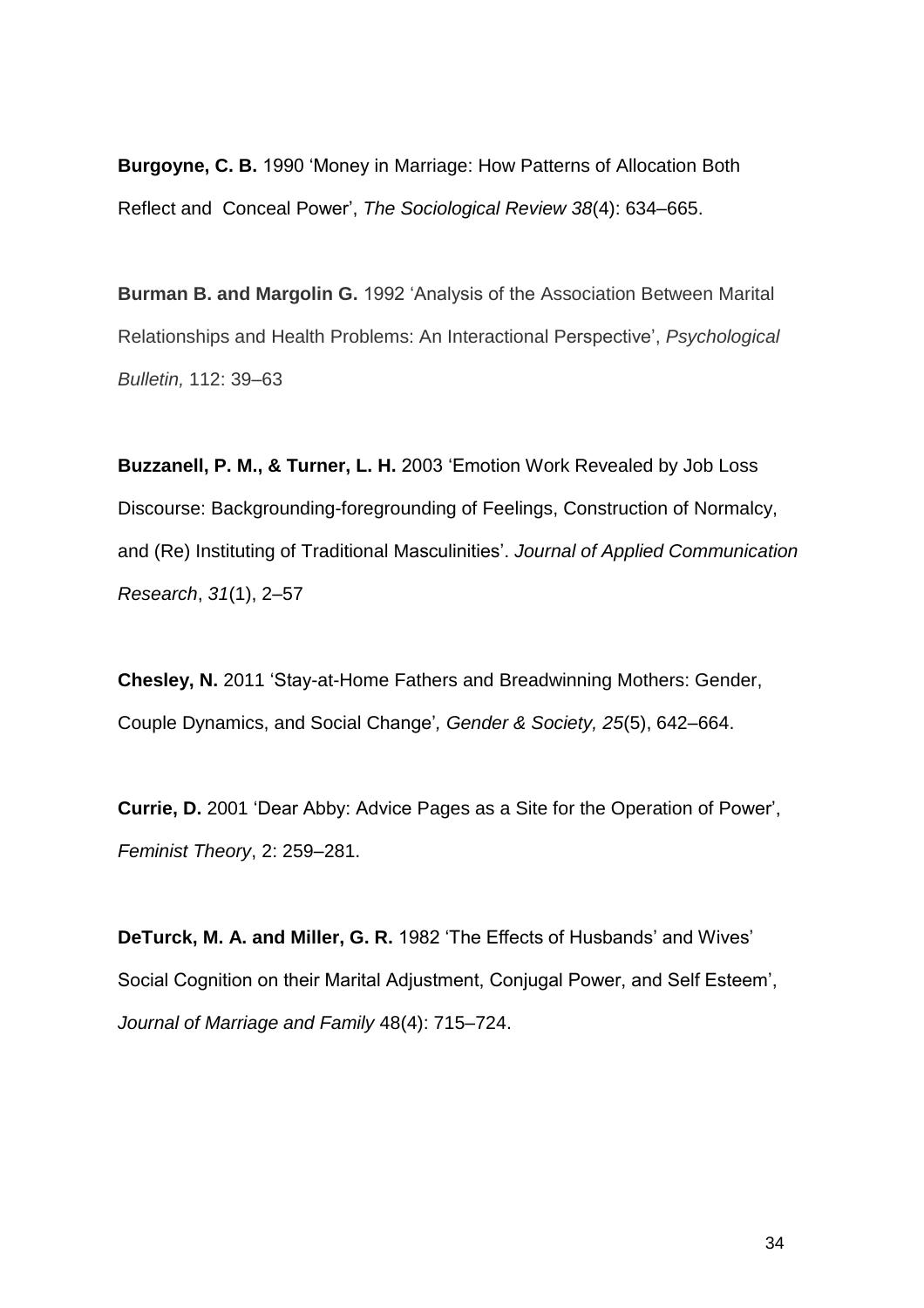**Burgoyne, C. B.** 1990 'Money in Marriage: How Patterns of Allocation Both Reflect and Conceal Power', *The Sociological Review 38*(4): 634–665.

**Burman B. and Margolin G.** 1992 'Analysis of the Association Between Marital Relationships and Health Problems: An Interactional Perspective', *Psychological Bulletin,* 112: 39–63

**Buzzanell, P. M., & Turner, L. H.** 2003 'Emotion Work Revealed by Job Loss Discourse: Backgrounding-foregrounding of Feelings, Construction of Normalcy, and (Re) Instituting of Traditional Masculinities'. *Journal of Applied Communication Research*, *31*(1), 2–57

**Chesley, N.** 2011 'Stay-at-Home Fathers and Breadwinning Mothers: Gender, Couple Dynamics, and Social Change'*, Gender & Society, 25*(5), 642–664.

**Currie, D.** 2001 'Dear Abby: Advice Pages as a Site for the Operation of Power', *Feminist Theory*, 2: 259–281.

**DeTurck, M. A. and Miller, G. R.** 1982 'The Effects of Husbands' and Wives' Social Cognition on their Marital Adjustment, Conjugal Power, and Self Esteem', *Journal of Marriage and Family* 48(4): 715–724.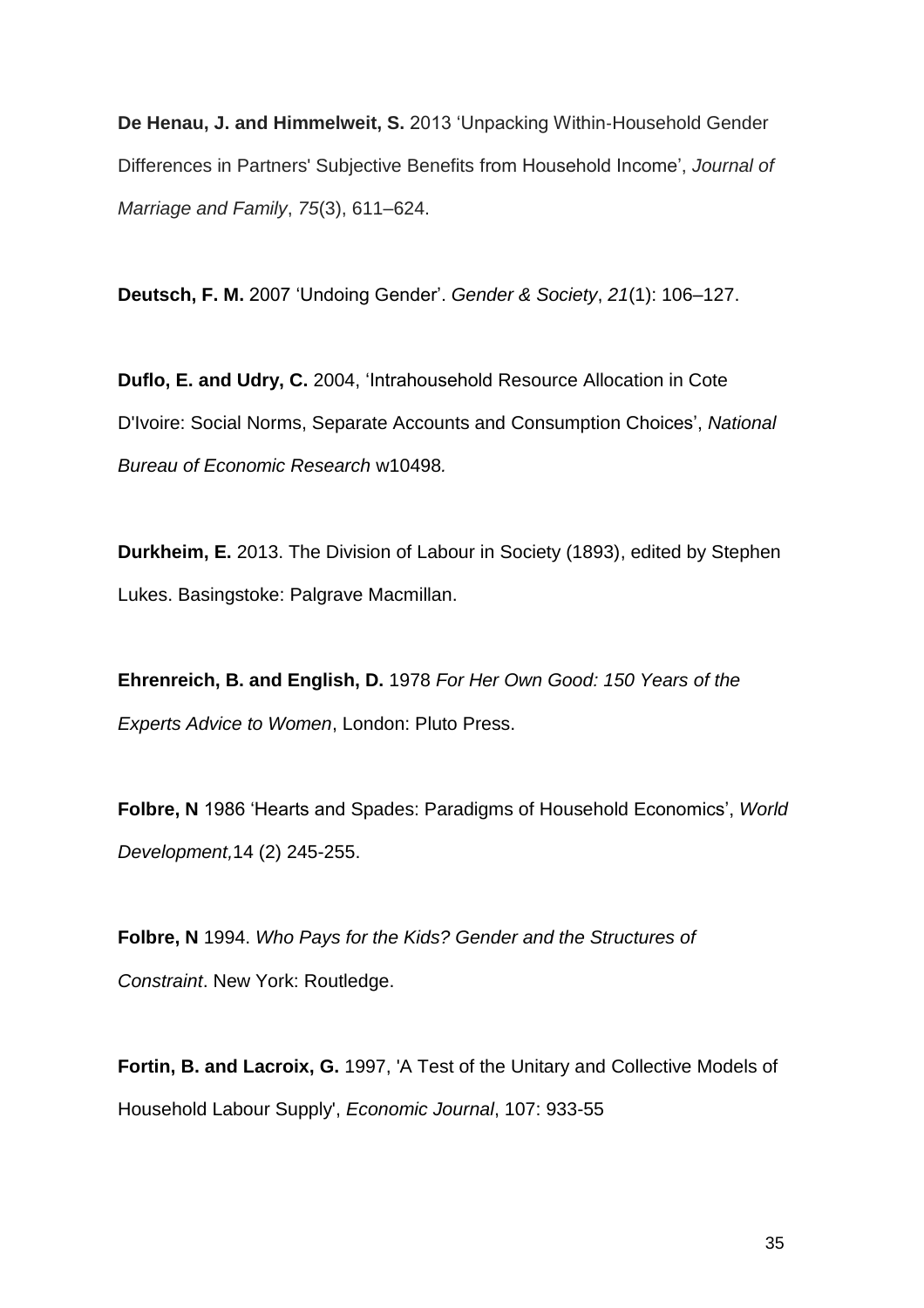**De Henau, J. and Himmelweit, S.** 2013 'Unpacking Within‐Household Gender Differences in Partners' Subjective Benefits from Household Income', *Journal of Marriage and Family*, *75*(3), 611–624.

**Deutsch, F. M.** 2007 'Undoing Gender'. *Gender & Society*, *21*(1): 106–127.

**Duflo, E. and Udry, C.** 2004, 'Intrahousehold Resource Allocation in Cote D'Ivoire: Social Norms, Separate Accounts and Consumption Choices', *National Bureau of Economic Research* w10498*.*

**Durkheim, E.** 2013. The Division of Labour in Society (1893), edited by Stephen Lukes. Basingstoke: Palgrave Macmillan.

**Ehrenreich, B. and English, D.** 1978 *For Her Own Good: 150 Years of the Experts Advice to Women*, London: Pluto Press.

**Folbre, N** 1986 'Hearts and Spades: Paradigms of Household Economics', *World Development,*14 (2) 245-255.

**Folbre, N** 1994. *Who Pays for the Kids? Gender and the Structures of Constraint*. New York: Routledge.

**Fortin, B. and Lacroix, G.** 1997, 'A Test of the Unitary and Collective Models of Household Labour Supply', *Economic Journal*, 107: 933-55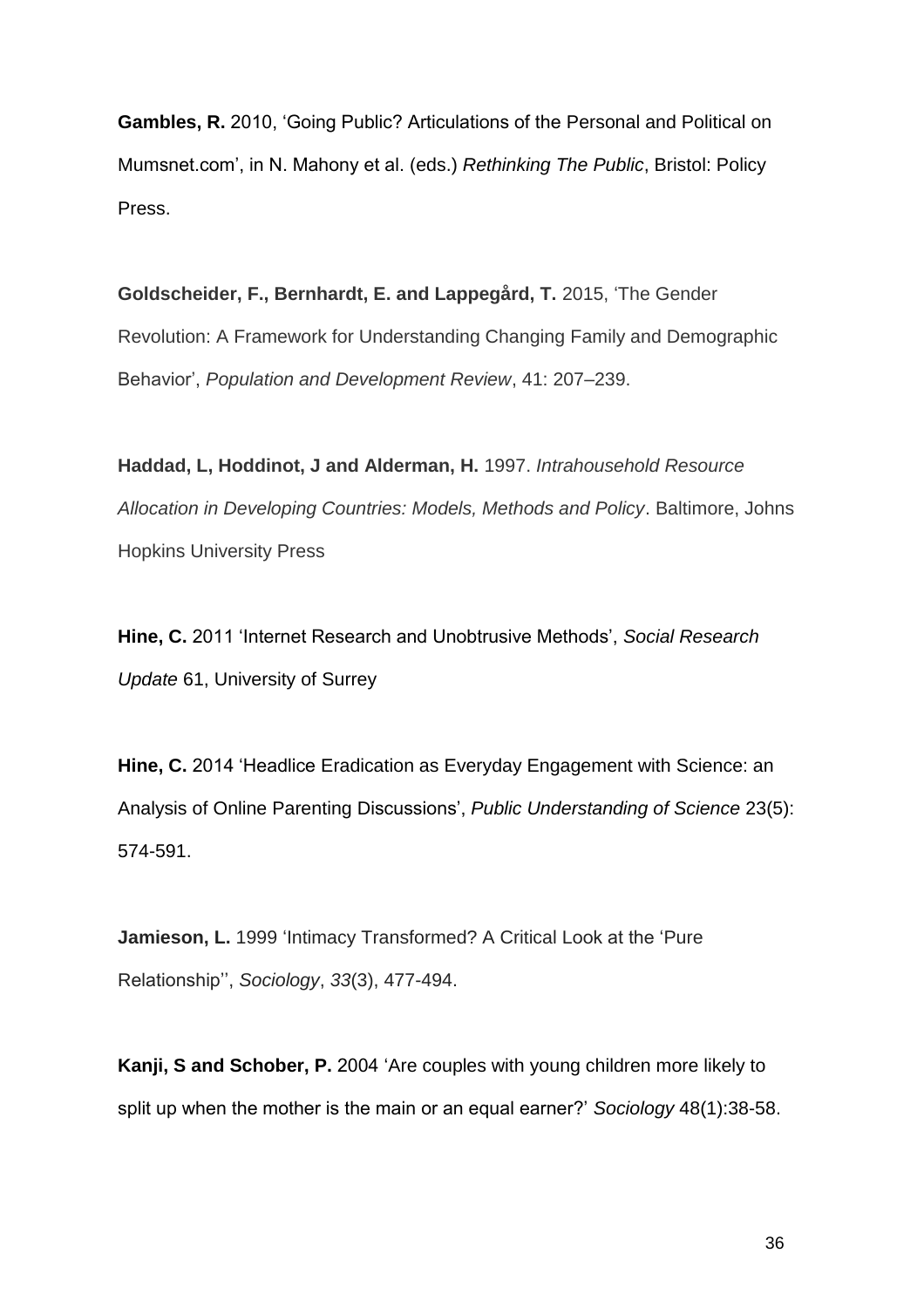**Gambles, R.** 2010, 'Going Public? Articulations of the Personal and Political on Mumsnet.com', in N. Mahony et al. (eds.) *Rethinking The Public*, Bristol: Policy Press.

**Goldscheider, F., Bernhardt, E. and Lappegård, T.** 2015, 'The Gender Revolution: A Framework for Understanding Changing Family and Demographic Behavior', *Population and Development Review*, 41: 207–239.

**Haddad, L, Hoddinot, J and Alderman, H.** 1997. *Intrahousehold Resource Allocation in Developing Countries: Models, Methods and Policy*. Baltimore, Johns Hopkins University Press

**Hine, C.** 2011 'Internet Research and Unobtrusive Methods', *Social Research Update* 61, University of Surrey

**Hine, C.** 2014 'Headlice Eradication as Everyday Engagement with Science: an Analysis of Online Parenting Discussions', *Public Understanding of Science* 23(5): 574-591.

**Jamieson, L.** 1999 'Intimacy Transformed? A Critical Look at the 'Pure' Relationship'', *Sociology*, *33*(3), 477-494.

**Kanji, S and Schober, P.** 2004 'Are couples with young children more likely to split up when the mother is the main or an equal earner?' *Sociology* 48(1):38-58.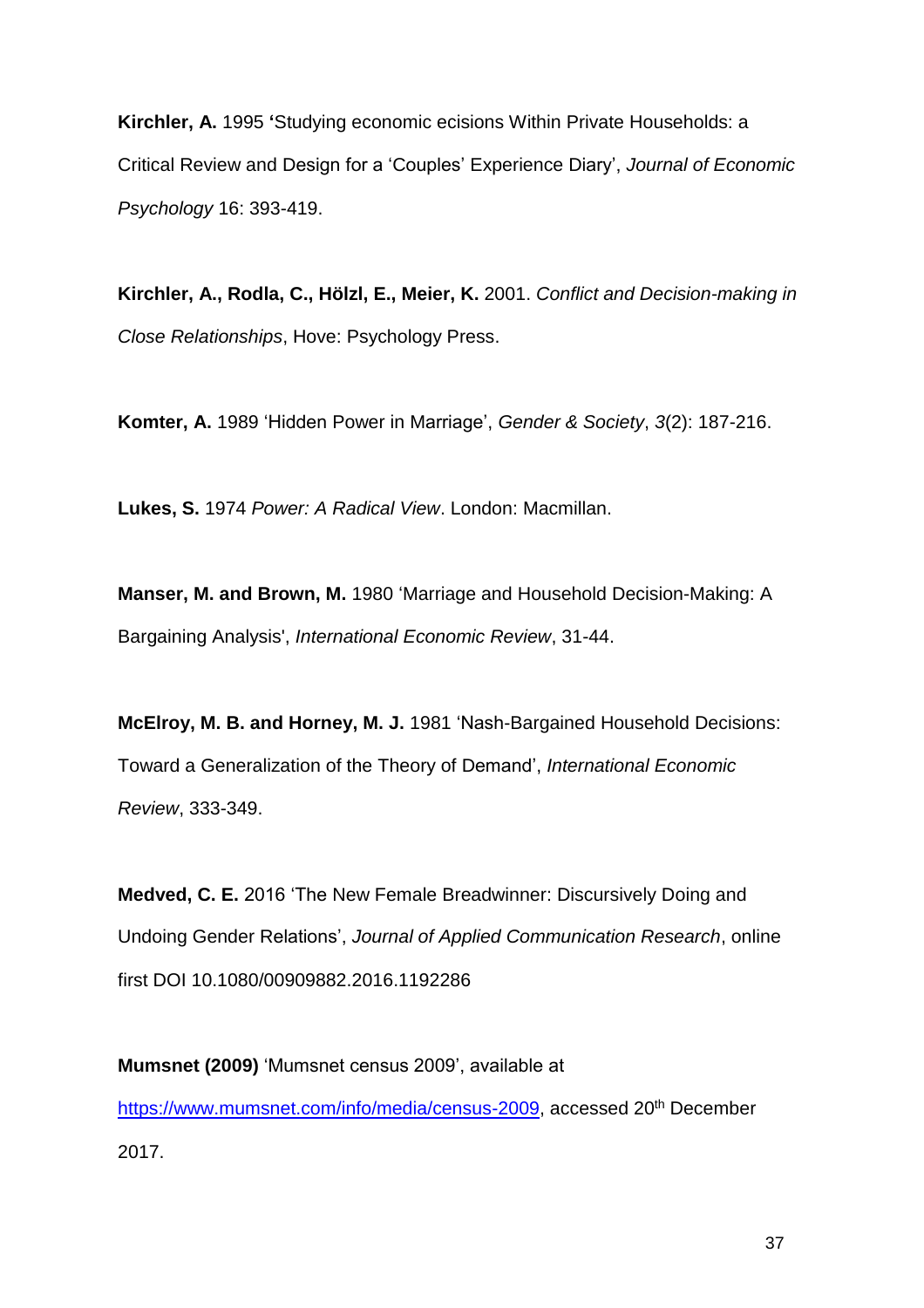**Kirchler, A.** 1995 **'**Studying economic ecisions Within Private Households: a Critical Review and Design for a 'Couples' Experience Diary', *Journal of Economic Psychology* 16: 393-419.

**Kirchler, A., Rodla, C., Hölzl, E., Meier, K.** 2001. *Conflict and Decision-making in Close Relationships*, Hove: Psychology Press.

**Komter, A.** 1989 'Hidden Power in Marriage', *Gender & Society*, *3*(2): 187-216.

**Lukes, S.** 1974 *Power: A Radical View*. London: Macmillan.

**Manser, M. and Brown, M.** 1980 'Marriage and Household Decision-Making: A Bargaining Analysis', *International Economic Review*, 31-44.

**McElroy, M. B. and Horney, M. J.** 1981 'Nash-Bargained Household Decisions: Toward a Generalization of the Theory of Demand', *International Economic Review*, 333-349.

**Medved, C. E.** 2016 'The New Female Breadwinner: Discursively Doing and Undoing Gender Relations', *Journal of Applied Communication Research*, online first DOI 10.1080/00909882.2016.1192286

**Mumsnet (2009)** 'Mumsnet census 2009', available at [https://www.mumsnet.com/info/media/census-2009,](https://www.mumsnet.com/info/media/census-2009) accessed 20<sup>th</sup> December 2017.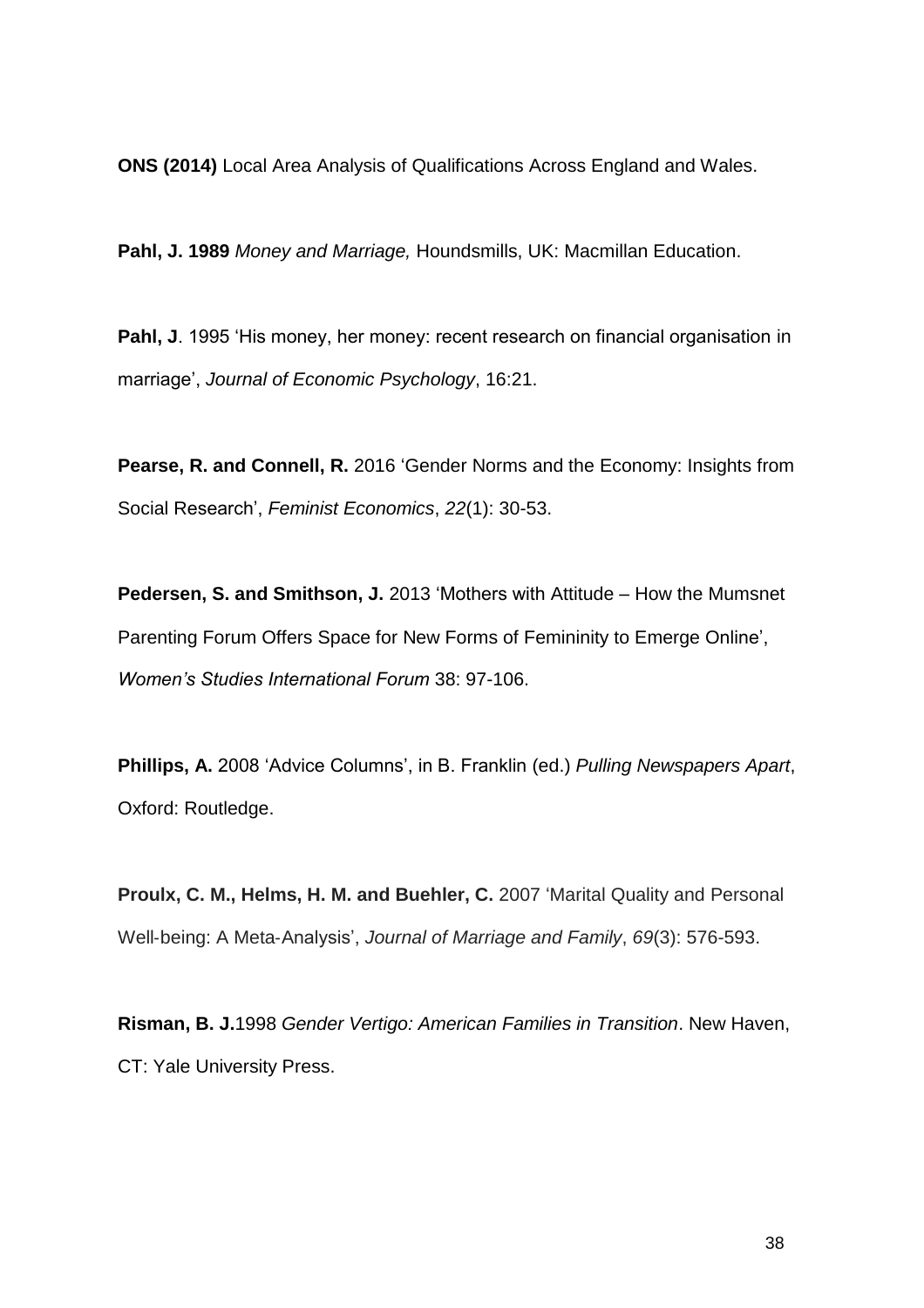**ONS (2014)** Local Area Analysis of Qualifications Across England and Wales.

**Pahl, J. 1989** *Money and Marriage,* Houndsmills, UK: Macmillan Education.

**Pahl, J**. 1995 'His money, her money: recent research on financial organisation in marriage', *Journal of Economic Psychology*, 16:21.

**Pearse, R. and Connell, R.** 2016 'Gender Norms and the Economy: Insights from Social Research', *Feminist Economics*, *22*(1): 30-53.

**Pedersen, S. and Smithson, J.** 2013 'Mothers with Attitude – How the Mumsnet Parenting Forum Offers Space for New Forms of Femininity to Emerge Online', *Women's Studies International Forum* 38: 97-106.

**Phillips, A.** 2008 'Advice Columns', in B. Franklin (ed.) *Pulling Newspapers Apart*, Oxford: Routledge.

**Proulx, C. M., Helms, H. M. and Buehler, C.** 2007 'Marital Quality and Personal Well‐being: A Meta‐Analysis', *Journal of Marriage and Family*, *69*(3): 576-593.

**Risman, B. J.**1998 *Gender Vertigo: American Families in Transition*. New Haven, CT: Yale University Press.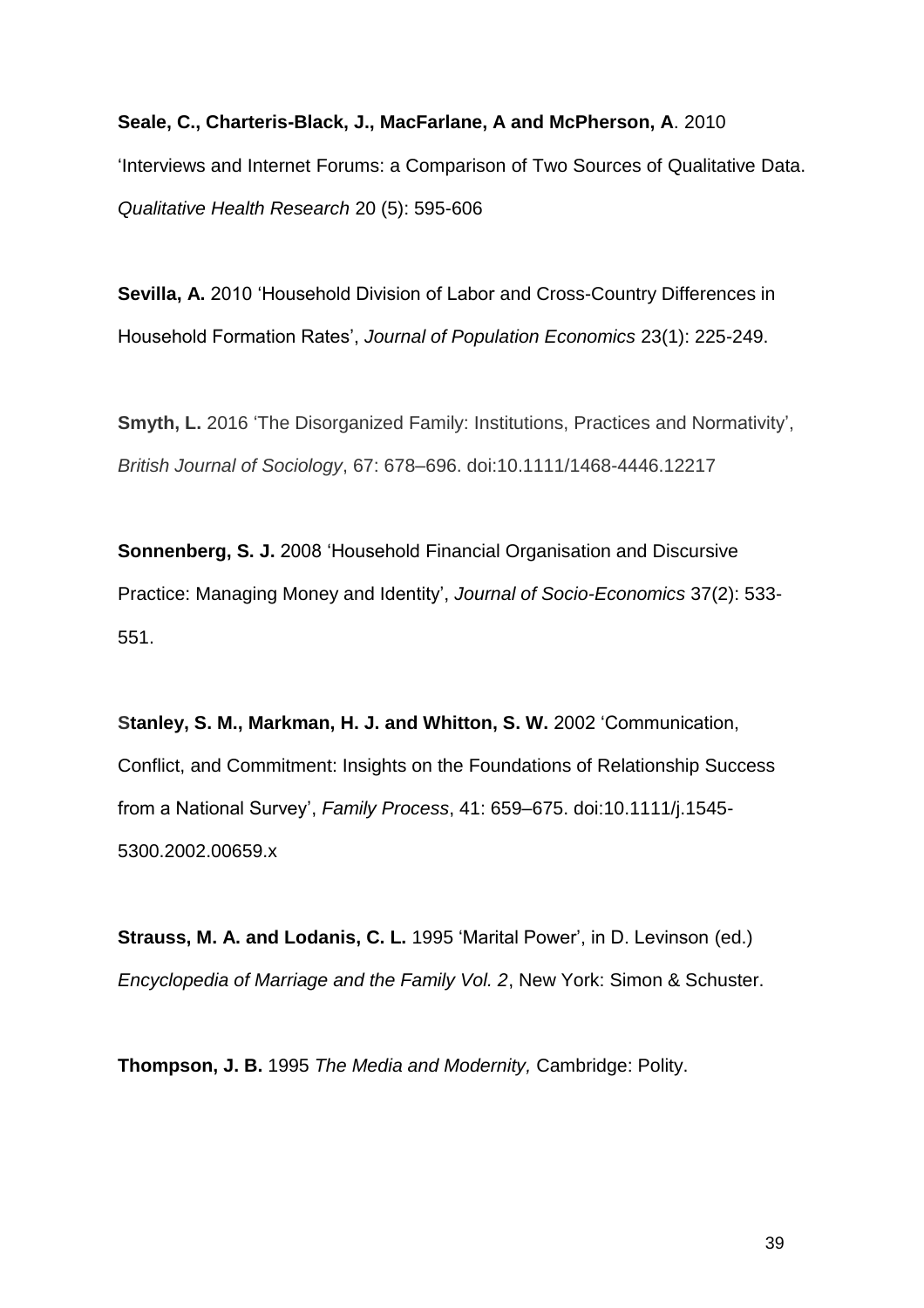**Seale, C., Charteris-Black, J., MacFarlane, A and McPherson, A**. 2010 'Interviews and Internet Forums: a Comparison of Two Sources of Qualitative Data. *Qualitative Health Research* 20 (5): 595-606

**Sevilla, A.** 2010 'Household Division of Labor and Cross-Country Differences in Household Formation Rates', *Journal of Population Economics* 23(1): 225-249.

**Smyth, L.** 2016 'The Disorganized Family: Institutions, Practices and Normativity', *British Journal of Sociology*, 67: 678–696. doi:10.1111/1468-4446.12217

**Sonnenberg, S. J.** 2008 'Household Financial Organisation and Discursive Practice: Managing Money and Identity', *Journal of Socio-Economics* 37(2): 533- 551.

**Stanley, S. M., Markman, H. J. and Whitton, S. W.** 2002 'Communication, Conflict, and Commitment: Insights on the Foundations of Relationship Success from a National Survey', *Family Process*, 41: 659–675. doi:10.1111/j.1545- 5300.2002.00659.x

**Strauss, M. A. and Lodanis, C. L.** 1995 'Marital Power', in D. Levinson (ed.) *Encyclopedia of Marriage and the Family Vol. 2*, New York: Simon & Schuster.

**Thompson, J. B.** 1995 *The Media and Modernity,* Cambridge: Polity.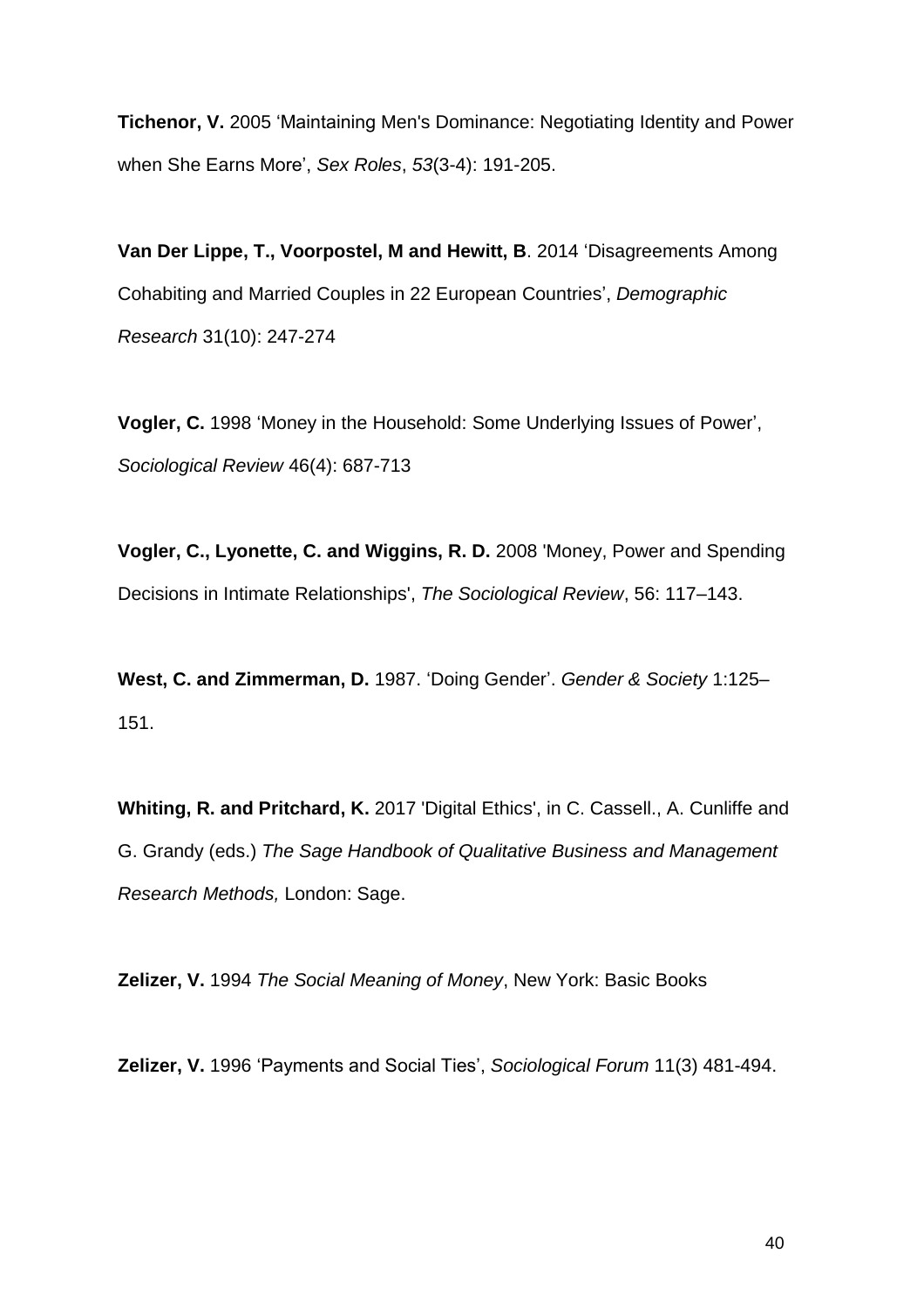**Tichenor, V.** 2005 'Maintaining Men's Dominance: Negotiating Identity and Power when She Earns More', *Sex Roles*, *53*(3-4): 191-205.

**Van Der Lippe, T., Voorpostel, M and Hewitt, B**. 2014 'Disagreements Among Cohabiting and Married Couples in 22 European Countries', *Demographic Research* 31(10): 247-274

**Vogler, C.** 1998 'Money in the Household: Some Underlying Issues of Power', *Sociological Review* 46(4): 687-713

**Vogler, C., Lyonette, C. and Wiggins, R. D.** 2008 'Money, Power and Spending Decisions in Intimate Relationships', *The Sociological Review*, 56: 117–143.

**West, C. and Zimmerman, D.** 1987. 'Doing Gender'. *Gender & Society* 1:125– 151.

**Whiting, R. and Pritchard, K.** 2017 'Digital Ethics', in C. Cassell., A. Cunliffe and G. Grandy (eds.) *The Sage Handbook of Qualitative Business and Management Research Methods,* London: Sage.

**Zelizer, V.** 1994 *The Social Meaning of Money*, New York: Basic Books

**Zelizer, V.** 1996 'Payments and Social Ties', *Sociological Forum* 11(3) 481-494.